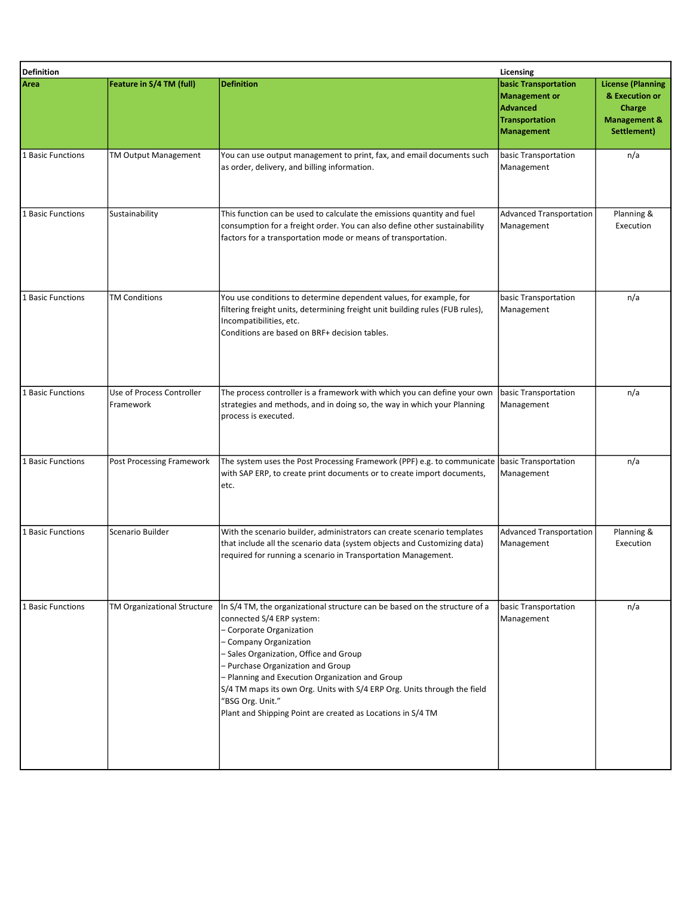| <b>Definition</b><br>Licensing |                                        |                                                                                                                                                                                                                                                                                                                                                                                                                                                                |                                                                                                        |                                                                                                |
|--------------------------------|----------------------------------------|----------------------------------------------------------------------------------------------------------------------------------------------------------------------------------------------------------------------------------------------------------------------------------------------------------------------------------------------------------------------------------------------------------------------------------------------------------------|--------------------------------------------------------------------------------------------------------|------------------------------------------------------------------------------------------------|
| Area                           | Feature in S/4 TM (full)               | <b>Definition</b>                                                                                                                                                                                                                                                                                                                                                                                                                                              | <b>basic Transportation</b><br>Management or<br>Advanced<br><b>Transportation</b><br><b>Management</b> | <b>License (Planning</b><br>& Execution or<br>Charge<br><b>Management &amp;</b><br>Settlement) |
| 1 Basic Functions              | TM Output Management                   | You can use output management to print, fax, and email documents such<br>as order, delivery, and billing information.                                                                                                                                                                                                                                                                                                                                          | basic Transportation<br>Management                                                                     | n/a                                                                                            |
| 1 Basic Functions              | Sustainability                         | This function can be used to calculate the emissions quantity and fuel<br>consumption for a freight order. You can also define other sustainability<br>factors for a transportation mode or means of transportation.                                                                                                                                                                                                                                           | <b>Advanced Transportation</b><br>Management                                                           | Planning &<br>Execution                                                                        |
| 1 Basic Functions              | <b>TM Conditions</b>                   | You use conditions to determine dependent values, for example, for<br>filtering freight units, determining freight unit building rules (FUB rules),<br>Incompatibilities, etc.<br>Conditions are based on BRF+ decision tables.                                                                                                                                                                                                                                | basic Transportation<br>Management                                                                     | n/a                                                                                            |
| 1 Basic Functions              | Use of Process Controller<br>Framework | The process controller is a framework with which you can define your own<br>strategies and methods, and in doing so, the way in which your Planning<br>process is executed.                                                                                                                                                                                                                                                                                    | basic Transportation<br>Management                                                                     | n/a                                                                                            |
| 1 Basic Functions              | <b>Post Processing Framework</b>       | The system uses the Post Processing Framework (PPF) e.g. to communicate basic Transportation<br>with SAP ERP, to create print documents or to create import documents,<br>etc.                                                                                                                                                                                                                                                                                 | Management                                                                                             | n/a                                                                                            |
| 1 Basic Functions              | Scenario Builder                       | With the scenario builder, administrators can create scenario templates<br>that include all the scenario data (system objects and Customizing data)<br>required for running a scenario in Transportation Management.                                                                                                                                                                                                                                           | Advanced Transportation<br>Management                                                                  | Planning &<br>Execution                                                                        |
| 1 Basic Functions              | <b>TM Organizational Structure</b>     | In S/4 TM, the organizational structure can be based on the structure of a<br>connected S/4 ERP system:<br>- Corporate Organization<br>- Company Organization<br>- Sales Organization, Office and Group<br>- Purchase Organization and Group<br>- Planning and Execution Organization and Group<br>S/4 TM maps its own Org. Units with S/4 ERP Org. Units through the field<br>"BSG Org. Unit."<br>Plant and Shipping Point are created as Locations in S/4 TM | basic Transportation<br>Management                                                                     | n/a                                                                                            |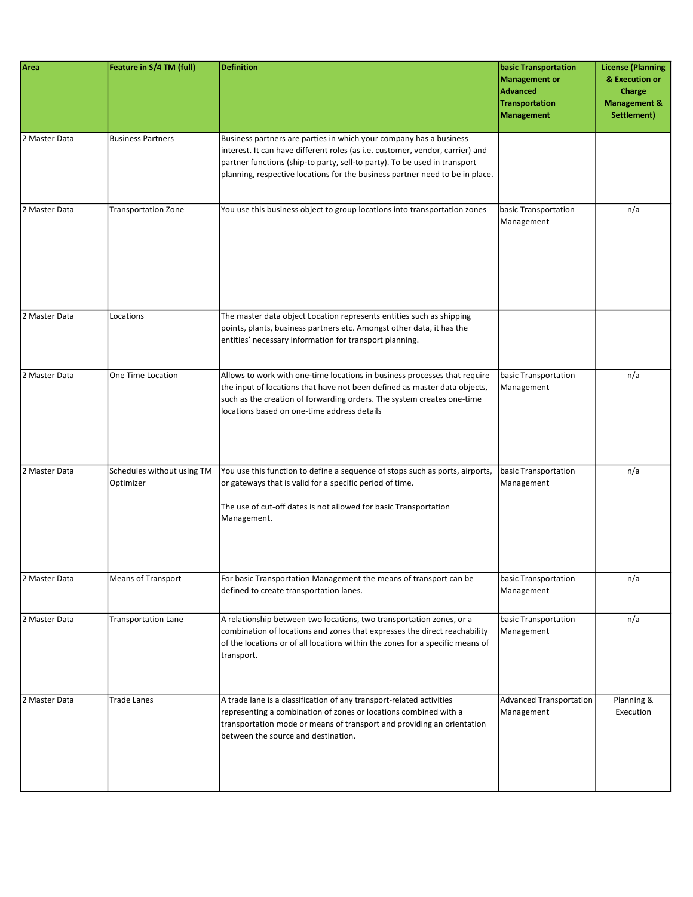| Area          | Feature in S/4 TM (full)                | <b>Definition</b>                                                                                                                                                                                                                                                                                                | <b>basic Transportation</b><br>Management or<br><b>Advanced</b><br><b>Transportation</b><br>Management | <b>License (Planning</b><br>& Execution or<br>Charge<br><b>Management &amp;</b><br>Settlement) |
|---------------|-----------------------------------------|------------------------------------------------------------------------------------------------------------------------------------------------------------------------------------------------------------------------------------------------------------------------------------------------------------------|--------------------------------------------------------------------------------------------------------|------------------------------------------------------------------------------------------------|
| 2 Master Data | <b>Business Partners</b>                | Business partners are parties in which your company has a business<br>interest. It can have different roles (as i.e. customer, vendor, carrier) and<br>partner functions (ship-to party, sell-to party). To be used in transport<br>planning, respective locations for the business partner need to be in place. |                                                                                                        |                                                                                                |
| 2 Master Data | <b>Transportation Zone</b>              | You use this business object to group locations into transportation zones                                                                                                                                                                                                                                        | basic Transportation<br>Management                                                                     | n/a                                                                                            |
| 2 Master Data | Locations                               | The master data object Location represents entities such as shipping<br>points, plants, business partners etc. Amongst other data, it has the<br>entities' necessary information for transport planning.                                                                                                         |                                                                                                        |                                                                                                |
| 2 Master Data | One Time Location                       | Allows to work with one-time locations in business processes that require<br>the input of locations that have not been defined as master data objects,<br>such as the creation of forwarding orders. The system creates one-time<br>locations based on one-time address details                                  | basic Transportation<br>Management                                                                     | n/a                                                                                            |
| 2 Master Data | Schedules without using TM<br>Optimizer | You use this function to define a sequence of stops such as ports, airports,<br>or gateways that is valid for a specific period of time.<br>The use of cut-off dates is not allowed for basic Transportation<br>Management.                                                                                      | basic Transportation<br>Management                                                                     | n/a                                                                                            |
| 2 Master Data | Means of Transport                      | For basic Transportation Management the means of transport can be<br>defined to create transportation lanes.                                                                                                                                                                                                     | basic Transportation<br>Management                                                                     | n/a                                                                                            |
| 2 Master Data | <b>Transportation Lane</b>              | A relationship between two locations, two transportation zones, or a<br>combination of locations and zones that expresses the direct reachability<br>of the locations or of all locations within the zones for a specific means of<br>transport.                                                                 | basic Transportation<br>Management                                                                     | n/a                                                                                            |
| 2 Master Data | <b>Trade Lanes</b>                      | A trade lane is a classification of any transport-related activities<br>representing a combination of zones or locations combined with a<br>transportation mode or means of transport and providing an orientation<br>between the source and destination.                                                        | Advanced Transportation<br>Management                                                                  | Planning &<br>Execution                                                                        |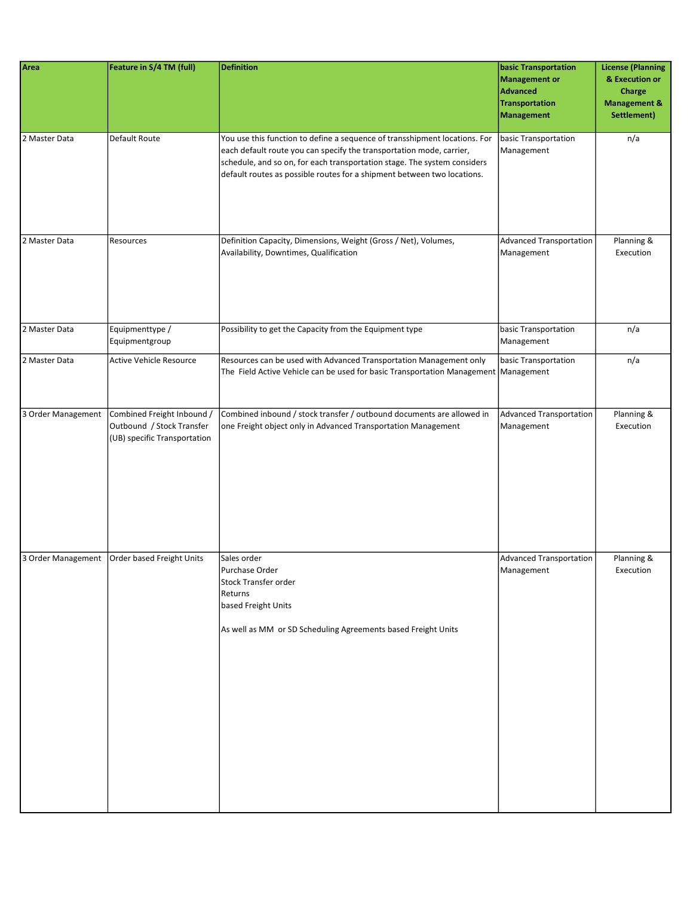| Area               | Feature in S/4 TM (full)                                                                | <b>Definition</b>                                                                                                                                                                                                                                                                                         | basic Transportation<br><b>Management or</b><br><b>Advanced</b><br><b>Transportation</b><br><b>Management</b> | <b>License (Planning</b><br>& Execution or<br><b>Charge</b><br><b>Management &amp;</b><br>Settlement) |
|--------------------|-----------------------------------------------------------------------------------------|-----------------------------------------------------------------------------------------------------------------------------------------------------------------------------------------------------------------------------------------------------------------------------------------------------------|---------------------------------------------------------------------------------------------------------------|-------------------------------------------------------------------------------------------------------|
| 2 Master Data      | Default Route                                                                           | You use this function to define a sequence of transshipment locations. For<br>each default route you can specify the transportation mode, carrier,<br>schedule, and so on, for each transportation stage. The system considers<br>default routes as possible routes for a shipment between two locations. | basic Transportation<br>Management                                                                            | n/a                                                                                                   |
| 2 Master Data      | Resources                                                                               | Definition Capacity, Dimensions, Weight (Gross / Net), Volumes,<br>Availability, Downtimes, Qualification                                                                                                                                                                                                 | <b>Advanced Transportation</b><br>Management                                                                  | Planning &<br>Execution                                                                               |
| 2 Master Data      | Equipmenttype /<br>Equipmentgroup                                                       | Possibility to get the Capacity from the Equipment type                                                                                                                                                                                                                                                   | basic Transportation<br>Management                                                                            | n/a                                                                                                   |
| 2 Master Data      | <b>Active Vehicle Resource</b>                                                          | Resources can be used with Advanced Transportation Management only<br>The Field Active Vehicle can be used for basic Transportation Management   Management                                                                                                                                               | basic Transportation                                                                                          | n/a                                                                                                   |
| 3 Order Management | Combined Freight Inbound /<br>Outbound / Stock Transfer<br>(UB) specific Transportation | Combined inbound / stock transfer / outbound documents are allowed in<br>one Freight object only in Advanced Transportation Management                                                                                                                                                                    | <b>Advanced Transportation</b><br>Management                                                                  | Planning &<br>Execution                                                                               |
| 3 Order Management | Order based Freight Units                                                               | Sales order<br>Purchase Order<br>Stock Transfer order<br>Returns<br>based Freight Units<br>As well as MM or SD Scheduling Agreements based Freight Units                                                                                                                                                  | <b>Advanced Transportation</b><br>Management                                                                  | Planning &<br>Execution                                                                               |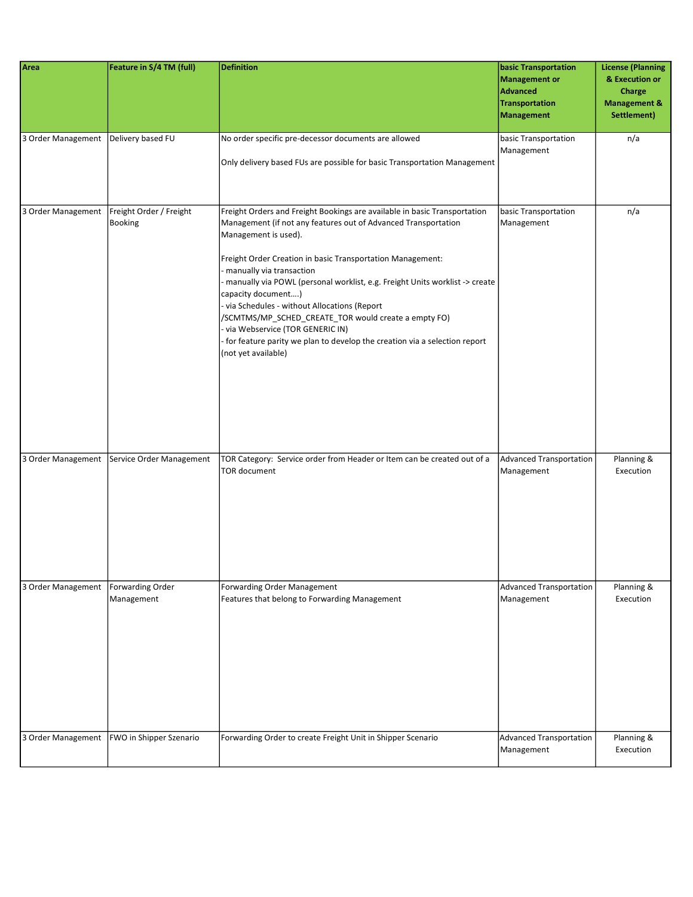| Area               | Feature in S/4 TM (full)                  | <b>Definition</b>                                                                                                                                                                                                                                                                                                                                                                                                                                                                                                                                                                                                        | <b>basic Transportation</b><br>Management or<br>Advanced<br><b>Transportation</b><br>Management | <b>License (Planning</b><br>& Execution or<br>Charge<br><b>Management &amp;</b><br>Settlement) |
|--------------------|-------------------------------------------|--------------------------------------------------------------------------------------------------------------------------------------------------------------------------------------------------------------------------------------------------------------------------------------------------------------------------------------------------------------------------------------------------------------------------------------------------------------------------------------------------------------------------------------------------------------------------------------------------------------------------|-------------------------------------------------------------------------------------------------|------------------------------------------------------------------------------------------------|
| 3 Order Management | Delivery based FU                         | No order specific pre-decessor documents are allowed<br>Only delivery based FUs are possible for basic Transportation Management                                                                                                                                                                                                                                                                                                                                                                                                                                                                                         | basic Transportation<br>Management                                                              | n/a                                                                                            |
| 3 Order Management | Freight Order / Freight<br><b>Booking</b> | Freight Orders and Freight Bookings are available in basic Transportation<br>Management (if not any features out of Advanced Transportation<br>Management is used).<br>Freight Order Creation in basic Transportation Management:<br>manually via transaction<br>- manually via POWL (personal worklist, e.g. Freight Units worklist -> create<br>capacity document)<br>- via Schedules - without Allocations (Report<br>/SCMTMS/MP_SCHED_CREATE_TOR would create a empty FO)<br>- via Webservice (TOR GENERIC IN)<br>- for feature parity we plan to develop the creation via a selection report<br>(not yet available) | basic Transportation<br>Management                                                              | n/a                                                                                            |
| 3 Order Management | Service Order Management                  | TOR Category: Service order from Header or Item can be created out of a<br><b>TOR document</b>                                                                                                                                                                                                                                                                                                                                                                                                                                                                                                                           | Advanced Transportation<br>Management                                                           | Planning &<br>Execution                                                                        |
| 3 Order Management | <b>Forwarding Order</b><br>Management     | <b>Forwarding Order Management</b><br>Features that belong to Forwarding Management                                                                                                                                                                                                                                                                                                                                                                                                                                                                                                                                      | Advanced Transportation<br>Management                                                           | Planning $\overline{\mathcal{L}}$<br>Execution                                                 |
| 3 Order Management | FWO in Shipper Szenario                   | Forwarding Order to create Freight Unit in Shipper Scenario                                                                                                                                                                                                                                                                                                                                                                                                                                                                                                                                                              | Advanced Transportation<br>Management                                                           | Planning &<br>Execution                                                                        |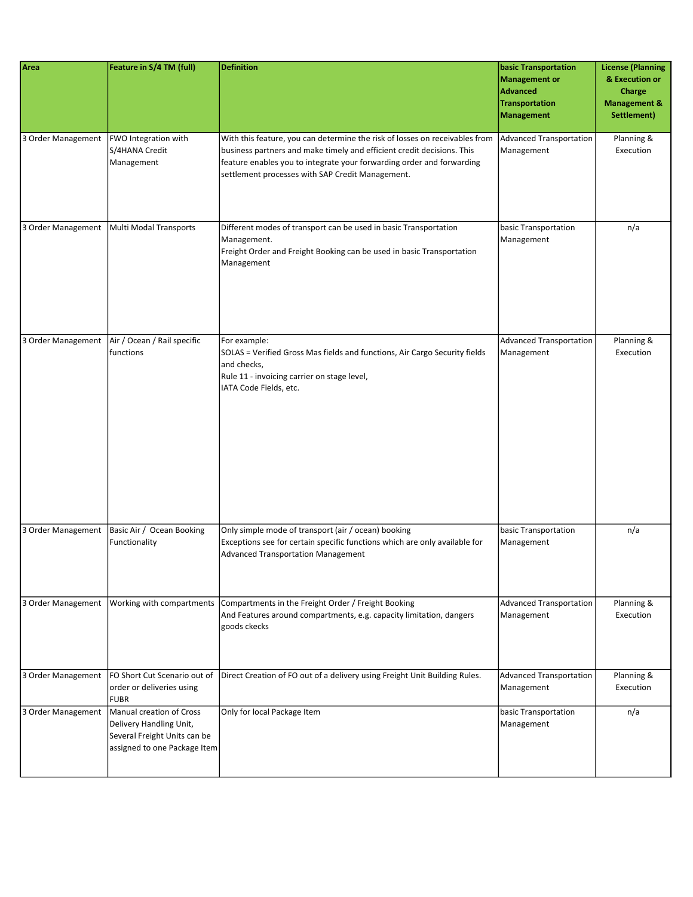| Area               | Feature in S/4 TM (full)                                                                                            | <b>Definition</b>                                                                                                                                                                                                                                                                  | <b>basic Transportation</b><br>Management or<br>Advanced<br>Transportation<br>Management | <b>License (Planning</b><br>& Execution or<br>Charge<br><b>Management &amp;</b><br>Settlement) |
|--------------------|---------------------------------------------------------------------------------------------------------------------|------------------------------------------------------------------------------------------------------------------------------------------------------------------------------------------------------------------------------------------------------------------------------------|------------------------------------------------------------------------------------------|------------------------------------------------------------------------------------------------|
| 3 Order Management | FWO Integration with<br>S/4HANA Credit<br>Management                                                                | With this feature, you can determine the risk of losses on receivables from<br>business partners and make timely and efficient credit decisions. This<br>feature enables you to integrate your forwarding order and forwarding<br>settlement processes with SAP Credit Management. | Advanced Transportation<br>Management                                                    | Planning &<br>Execution                                                                        |
|                    | 3 Order Management   Multi Modal Transports                                                                         | Different modes of transport can be used in basic Transportation<br>Management.<br>Freight Order and Freight Booking can be used in basic Transportation<br>Management                                                                                                             | basic Transportation<br>Management                                                       | n/a                                                                                            |
| 3 Order Management | Air / Ocean / Rail specific<br>functions                                                                            | For example:<br>SOLAS = Verified Gross Mas fields and functions, Air Cargo Security fields<br>and checks,<br>Rule 11 - invoicing carrier on stage level,<br>IATA Code Fields, etc.                                                                                                 | Advanced Transportation<br>Management                                                    | Planning &<br>Execution                                                                        |
| 3 Order Management | Basic Air / Ocean Booking<br>Functionality                                                                          | Only simple mode of transport (air / ocean) booking<br>Exceptions see for certain specific functions which are only available for<br><b>Advanced Transportation Management</b>                                                                                                     | basic Transportation<br>Management                                                       | n/a                                                                                            |
| 3 Order Management | Working with compartments                                                                                           | Compartments in the Freight Order / Freight Booking<br>And Features around compartments, e.g. capacity limitation, dangers<br>goods ckecks                                                                                                                                         | Advanced Transportation<br>Management                                                    | Planning &<br>Execution                                                                        |
| 3 Order Management | FO Short Cut Scenario out of<br>order or deliveries using<br><b>FUBR</b>                                            | Direct Creation of FO out of a delivery using Freight Unit Building Rules.                                                                                                                                                                                                         | Advanced Transportation<br>Management                                                    | Planning &<br>Execution                                                                        |
| 3 Order Management | Manual creation of Cross<br>Delivery Handling Unit,<br>Several Freight Units can be<br>assigned to one Package Item | Only for local Package Item                                                                                                                                                                                                                                                        | basic Transportation<br>Management                                                       | n/a                                                                                            |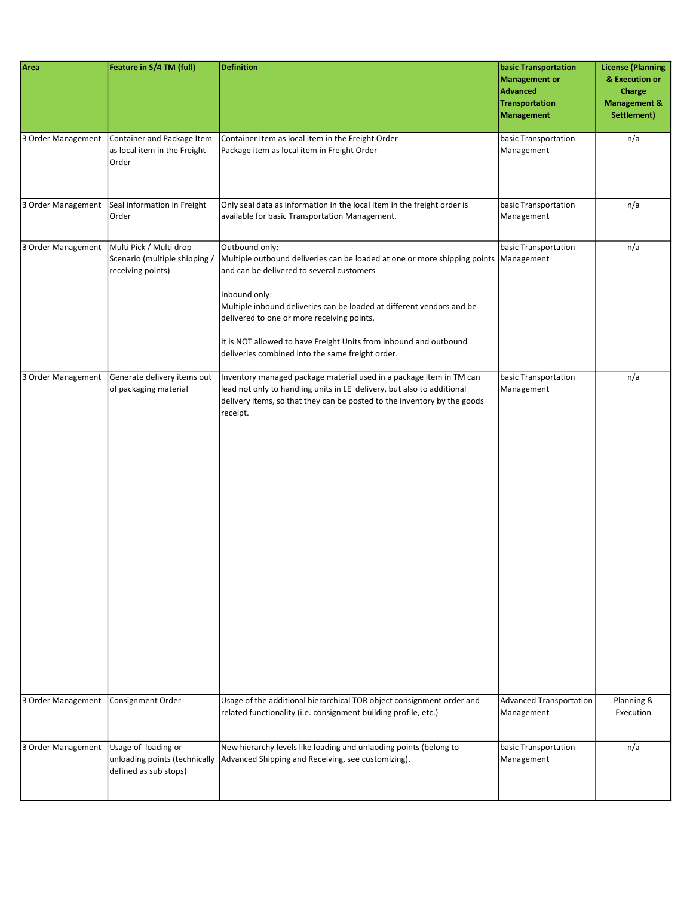| Area               | Feature in S/4 TM (full)                                                      | <b>Definition</b>                                                                                                                                                                                                                                                                                                                                                                                                    | <b>basic Transportation</b><br>Management or<br>Advanced<br><b>Transportation</b><br>Management | <b>License (Planning</b><br>& Execution or<br>Charge<br><b>Management &amp;</b><br>Settlement) |
|--------------------|-------------------------------------------------------------------------------|----------------------------------------------------------------------------------------------------------------------------------------------------------------------------------------------------------------------------------------------------------------------------------------------------------------------------------------------------------------------------------------------------------------------|-------------------------------------------------------------------------------------------------|------------------------------------------------------------------------------------------------|
| 3 Order Management | Container and Package Item<br>as local item in the Freight<br>Order           | Container Item as local item in the Freight Order<br>Package item as local item in Freight Order                                                                                                                                                                                                                                                                                                                     | basic Transportation<br>Management                                                              | n/a                                                                                            |
| 3 Order Management | Seal information in Freight<br>Order                                          | Only seal data as information in the local item in the freight order is<br>available for basic Transportation Management.                                                                                                                                                                                                                                                                                            | basic Transportation<br>Management                                                              | n/a                                                                                            |
| 3 Order Management | Multi Pick / Multi drop<br>Scenario (multiple shipping)<br>receiving points)  | Outbound only:<br>Multiple outbound deliveries can be loaded at one or more shipping points Management<br>and can be delivered to several customers<br>Inbound only:<br>Multiple inbound deliveries can be loaded at different vendors and be<br>delivered to one or more receiving points.<br>It is NOT allowed to have Freight Units from inbound and outbound<br>deliveries combined into the same freight order. | basic Transportation                                                                            | n/a                                                                                            |
| 3 Order Management | Generate delivery items out<br>of packaging material                          | Inventory managed package material used in a package item in TM can<br>lead not only to handling units in LE delivery, but also to additional<br>delivery items, so that they can be posted to the inventory by the goods<br>receipt.                                                                                                                                                                                | basic Transportation<br>Management                                                              | n/a                                                                                            |
| 3 Order Management | Consignment Order                                                             | Usage of the additional hierarchical TOR object consignment order and<br>related functionality (i.e. consignment building profile, etc.)                                                                                                                                                                                                                                                                             | Advanced Transportation<br>Management                                                           | Planning &<br>Execution                                                                        |
| 3 Order Management | Usage of loading or<br>unloading points (technically<br>defined as sub stops) | New hierarchy levels like loading and unlaoding points (belong to<br>Advanced Shipping and Receiving, see customizing).                                                                                                                                                                                                                                                                                              | basic Transportation<br>Management                                                              | n/a                                                                                            |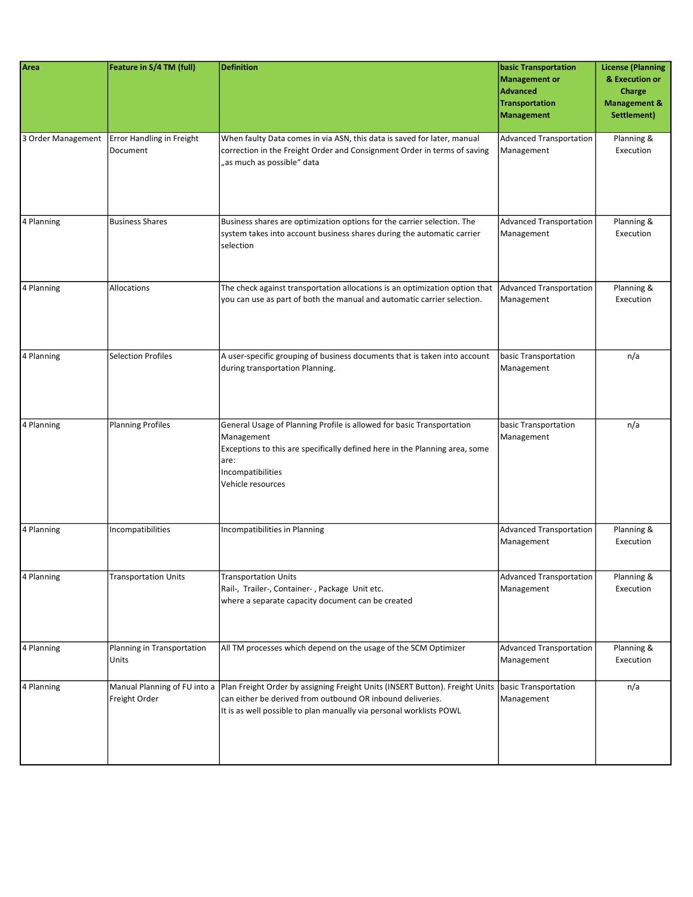| Area       | Feature in S/4 TM (full)                                   | <b>Definition</b>                                                                                                                                                                                                    | <b>basic Transportation</b><br>Management or<br>Advanced<br>Transportation<br>Management | <b>License (Planning</b><br>& Execution or<br>Charge<br><b>Management &amp;</b><br>Settlement) |
|------------|------------------------------------------------------------|----------------------------------------------------------------------------------------------------------------------------------------------------------------------------------------------------------------------|------------------------------------------------------------------------------------------|------------------------------------------------------------------------------------------------|
|            | 3 Order Management   Error Handling in Freight<br>Document | When faulty Data comes in via ASN, this data is saved for later, manual<br>correction in the Freight Order and Consignment Order in terms of saving<br>"as much as possible" data                                    | Advanced Transportation<br>Management                                                    | Planning &<br>Execution                                                                        |
| 4 Planning | <b>Business Shares</b>                                     | Business shares are optimization options for the carrier selection. The<br>system takes into account business shares during the automatic carrier<br>selection                                                       | Advanced Transportation<br>Management                                                    | Planning &<br>Execution                                                                        |
| 4 Planning | Allocations                                                | The check against transportation allocations is an optimization option that<br>you can use as part of both the manual and automatic carrier selection.                                                               | Advanced Transportation<br>Management                                                    | Planning &<br>Execution                                                                        |
| 4 Planning | <b>Selection Profiles</b>                                  | A user-specific grouping of business documents that is taken into account<br>during transportation Planning.                                                                                                         | basic Transportation<br>Management                                                       | n/a                                                                                            |
| 4 Planning | <b>Planning Profiles</b>                                   | General Usage of Planning Profile is allowed for basic Transportation<br>Management<br>Exceptions to this are specifically defined here in the Planning area, some<br>are:<br>Incompatibilities<br>Vehicle resources | basic Transportation<br>Management                                                       | n/a                                                                                            |
| 4 Planning | Incompatibilities                                          | Incompatibilities in Planning                                                                                                                                                                                        | Advanced Transportation<br>Management                                                    | Planning &<br>Execution                                                                        |
| 4 Planning | <b>Transportation Units</b>                                | <b>Transportation Units</b><br>Rail-, Trailer-, Container-, Package Unit etc.<br>where a separate capacity document can be created                                                                                   | Advanced Transportation<br>Management                                                    | Planning &<br>Execution                                                                        |
| 4 Planning | Planning in Transportation<br>Units                        | All TM processes which depend on the usage of the SCM Optimizer                                                                                                                                                      | Advanced Transportation<br>Management                                                    | Planning &<br>Execution                                                                        |
| 4 Planning | Manual Planning of FU into a<br>Freight Order              | Plan Freight Order by assigning Freight Units (INSERT Button). Freight Units<br>can either be derived from outbound OR inbound deliveries.<br>It is as well possible to plan manually via personal worklists POWL    | basic Transportation<br>Management                                                       | n/a                                                                                            |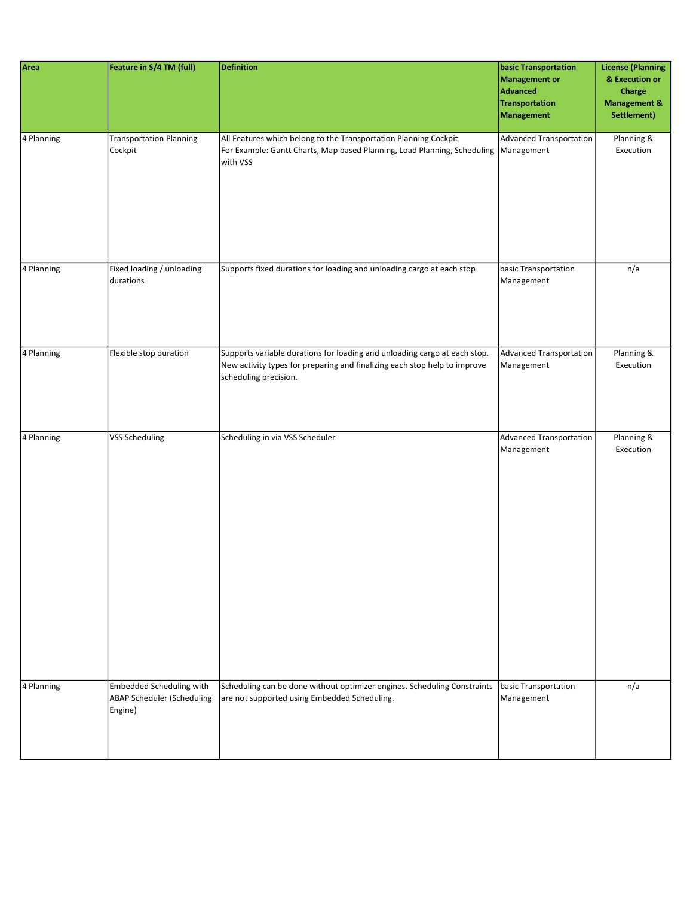| Area       | Feature in S/4 TM (full)                                                 | <b>Definition</b>                                                                                                                                                               | <b>basic Transportation</b><br>Management or<br>Advanced<br>Transportation<br>Management | <b>License (Planning</b><br>& Execution or<br>Charge<br><b>Management &amp;</b><br>Settlement) |
|------------|--------------------------------------------------------------------------|---------------------------------------------------------------------------------------------------------------------------------------------------------------------------------|------------------------------------------------------------------------------------------|------------------------------------------------------------------------------------------------|
| 4 Planning | <b>Transportation Planning</b><br>Cockpit                                | All Features which belong to the Transportation Planning Cockpit<br>For Example: Gantt Charts, Map based Planning, Load Planning, Scheduling   Management<br>with VSS           | Advanced Transportation                                                                  | Planning &<br>Execution                                                                        |
| 4 Planning | Fixed loading / unloading<br>durations                                   | Supports fixed durations for loading and unloading cargo at each stop                                                                                                           | basic Transportation<br>Management                                                       | n/a                                                                                            |
| 4 Planning | Flexible stop duration                                                   | Supports variable durations for loading and unloading cargo at each stop.<br>New activity types for preparing and finalizing each stop help to improve<br>scheduling precision. | Advanced Transportation<br>Management                                                    | Planning &<br>Execution                                                                        |
| 4 Planning | <b>VSS Scheduling</b>                                                    | Scheduling in via VSS Scheduler                                                                                                                                                 | Advanced Transportation<br>Management                                                    | Planning &<br>Execution                                                                        |
| 4 Planning | Embedded Scheduling with<br><b>ABAP Scheduler (Scheduling</b><br>Engine) | Scheduling can be done without optimizer engines. Scheduling Constraints<br>are not supported using Embedded Scheduling.                                                        | basic Transportation<br>Management                                                       | n/a                                                                                            |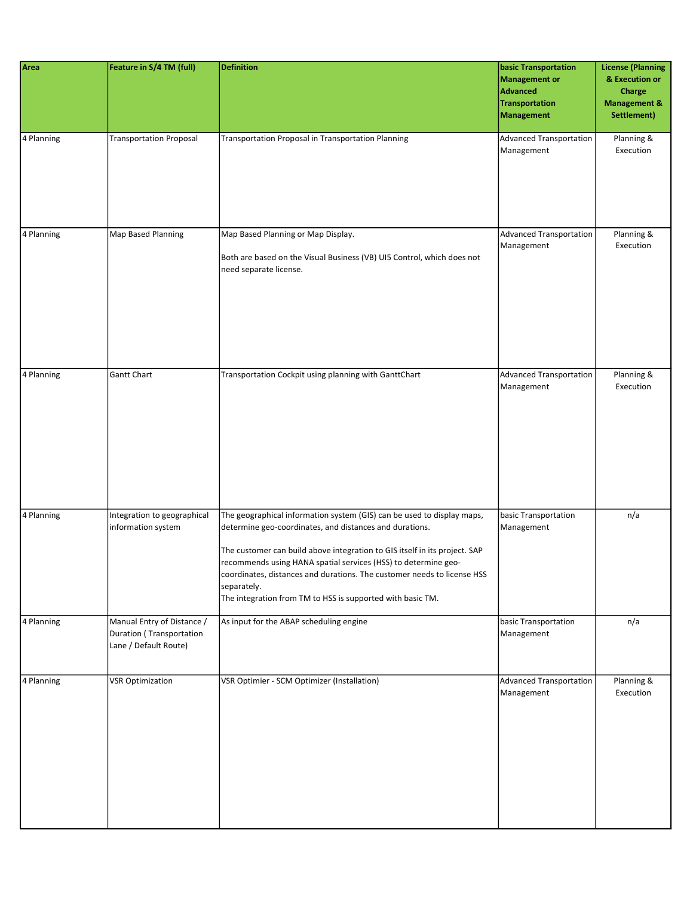| Area       | Feature in S/4 TM (full)                                                        | <b>Definition</b>                                                                                                                                                                                                                                                                                                                                                                                                                         | <b>basic Transportation</b><br>Management or<br><b>Advanced</b><br>Transportation<br>Management | <b>License (Planning</b><br>& Execution or<br>Charge<br><b>Management &amp;</b><br>Settlement) |
|------------|---------------------------------------------------------------------------------|-------------------------------------------------------------------------------------------------------------------------------------------------------------------------------------------------------------------------------------------------------------------------------------------------------------------------------------------------------------------------------------------------------------------------------------------|-------------------------------------------------------------------------------------------------|------------------------------------------------------------------------------------------------|
| 4 Planning | <b>Transportation Proposal</b>                                                  | <b>Transportation Proposal in Transportation Planning</b>                                                                                                                                                                                                                                                                                                                                                                                 | <b>Advanced Transportation</b><br>Management                                                    | Planning &<br>Execution                                                                        |
| 4 Planning | Map Based Planning                                                              | Map Based Planning or Map Display.<br>Both are based on the Visual Business (VB) UI5 Control, which does not<br>need separate license.                                                                                                                                                                                                                                                                                                    | <b>Advanced Transportation</b><br>Management                                                    | Planning &<br>Execution                                                                        |
| 4 Planning | <b>Gantt Chart</b>                                                              | Transportation Cockpit using planning with GanttChart                                                                                                                                                                                                                                                                                                                                                                                     | Advanced Transportation<br>Management                                                           | Planning &<br>Execution                                                                        |
| 4 Planning | Integration to geographical<br>information system                               | The geographical information system (GIS) can be used to display maps,<br>determine geo-coordinates, and distances and durations.<br>The customer can build above integration to GIS itself in its project. SAP<br>recommends using HANA spatial services (HSS) to determine geo-<br>coordinates, distances and durations. The customer needs to license HSS<br>separately.<br>The integration from TM to HSS is supported with basic TM. | basic Transportation<br>Management                                                              | n/a                                                                                            |
| 4 Planning | Manual Entry of Distance /<br>Duration (Transportation<br>Lane / Default Route) | As input for the ABAP scheduling engine                                                                                                                                                                                                                                                                                                                                                                                                   | basic Transportation<br>Management                                                              | n/a                                                                                            |
| 4 Planning | <b>VSR Optimization</b>                                                         | VSR Optimier - SCM Optimizer (Installation)                                                                                                                                                                                                                                                                                                                                                                                               | Advanced Transportation<br>Management                                                           | Planning &<br>Execution                                                                        |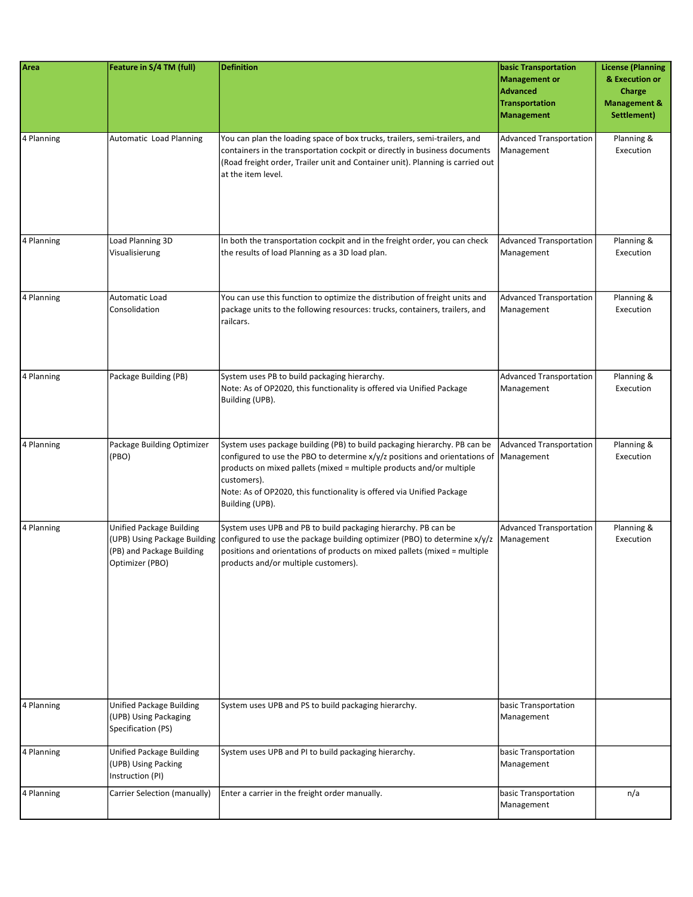| Area       | Feature in S/4 TM (full)                                                        | <b>Definition</b>                                                                                                                                                                                                                                                                                                                          | <b>basic Transportation</b><br>Management or<br><b>Advanced</b><br><b>Transportation</b><br><b>Management</b> | <b>License (Planning</b><br>& Execution or<br>Charge<br><b>Management &amp;</b><br>Settlement) |
|------------|---------------------------------------------------------------------------------|--------------------------------------------------------------------------------------------------------------------------------------------------------------------------------------------------------------------------------------------------------------------------------------------------------------------------------------------|---------------------------------------------------------------------------------------------------------------|------------------------------------------------------------------------------------------------|
| 4 Planning | Automatic Load Planning                                                         | You can plan the loading space of box trucks, trailers, semi-trailers, and<br>containers in the transportation cockpit or directly in business documents<br>(Road freight order, Trailer unit and Container unit). Planning is carried out<br>at the item level.                                                                           | Advanced Transportation<br>Management                                                                         | Planning &<br>Execution                                                                        |
| 4 Planning | Load Planning 3D<br>Visualisierung                                              | In both the transportation cockpit and in the freight order, you can check<br>the results of load Planning as a 3D load plan.                                                                                                                                                                                                              | Advanced Transportation<br>Management                                                                         | Planning &<br>Execution                                                                        |
| 4 Planning | Automatic Load<br>Consolidation                                                 | You can use this function to optimize the distribution of freight units and<br>package units to the following resources: trucks, containers, trailers, and<br>railcars.                                                                                                                                                                    | Advanced Transportation<br>Management                                                                         | Planning &<br>Execution                                                                        |
| 4 Planning | Package Building (PB)                                                           | System uses PB to build packaging hierarchy.<br>Note: As of OP2020, this functionality is offered via Unified Package<br>Building (UPB).                                                                                                                                                                                                   | <b>Advanced Transportation</b><br>Management                                                                  | Planning &<br>Execution                                                                        |
| 4 Planning | Package Building Optimizer<br>(PBO)                                             | System uses package building (PB) to build packaging hierarchy. PB can be<br>configured to use the PBO to determine x/y/z positions and orientations of<br>products on mixed pallets (mixed = multiple products and/or multiple<br>customers).<br>Note: As of OP2020, this functionality is offered via Unified Package<br>Building (UPB). | Advanced Transportation<br>Management                                                                         | Planning &<br>Execution                                                                        |
| 4 Planning | <b>Unified Package Building</b><br>(PB) and Package Building<br>Optimizer (PBO) | System uses UPB and PB to build packaging hierarchy. PB can be<br>(UPB) Using Package Building configured to use the package building optimizer (PBO) to determine $x/y/z$<br>positions and orientations of products on mixed pallets (mixed = multiple<br>products and/or multiple customers).                                            | Advanced Transportation<br>Management                                                                         | Planning &<br>Execution                                                                        |
| 4 Planning | Unified Package Building<br>(UPB) Using Packaging<br>Specification (PS)         | System uses UPB and PS to build packaging hierarchy.                                                                                                                                                                                                                                                                                       | basic Transportation<br>Management                                                                            |                                                                                                |
| 4 Planning | <b>Unified Package Building</b><br>(UPB) Using Packing<br>Instruction (PI)      | System uses UPB and PI to build packaging hierarchy.                                                                                                                                                                                                                                                                                       | basic Transportation<br>Management                                                                            |                                                                                                |
| 4 Planning | Carrier Selection (manually)                                                    | Enter a carrier in the freight order manually.                                                                                                                                                                                                                                                                                             | basic Transportation<br>Management                                                                            | n/a                                                                                            |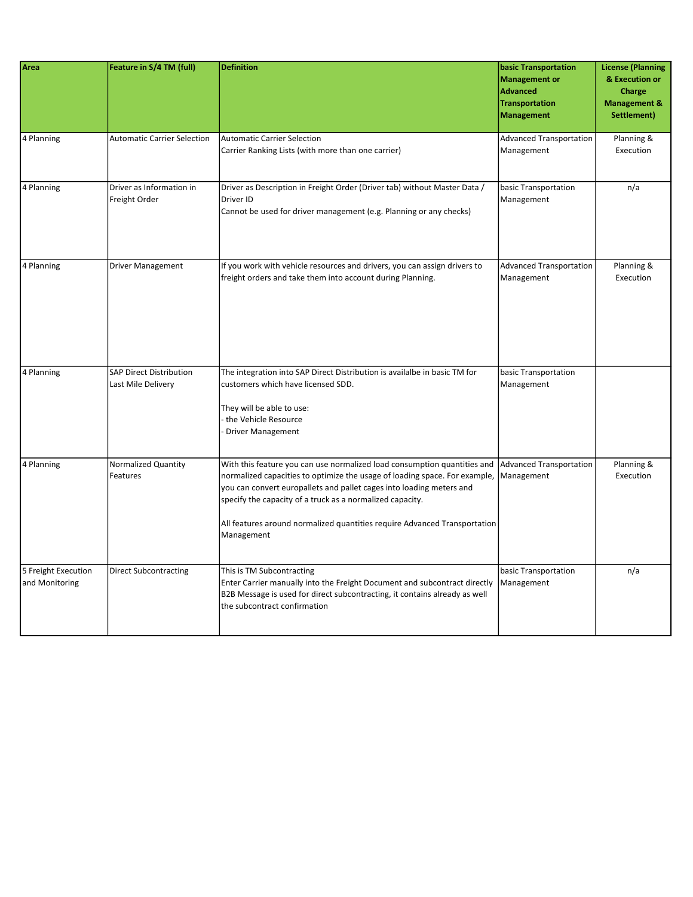| Area                                  | Feature in S/4 TM (full)                             | <b>Definition</b>                                                                                                                                                                                                                                                                                                                                                                      | <b>basic Transportation</b><br><b>Management or</b><br><b>Advanced</b><br><b>Transportation</b><br><b>Management</b> | <b>License (Planning</b><br>& Execution or<br>Charge<br><b>Management &amp;</b><br>Settlement) |
|---------------------------------------|------------------------------------------------------|----------------------------------------------------------------------------------------------------------------------------------------------------------------------------------------------------------------------------------------------------------------------------------------------------------------------------------------------------------------------------------------|----------------------------------------------------------------------------------------------------------------------|------------------------------------------------------------------------------------------------|
| 4 Planning                            | <b>Automatic Carrier Selection</b>                   | Automatic Carrier Selection<br>Carrier Ranking Lists (with more than one carrier)                                                                                                                                                                                                                                                                                                      | <b>Advanced Transportation</b><br>Management                                                                         | Planning &<br>Execution                                                                        |
| 4 Planning                            | Driver as Information in<br>Freight Order            | Driver as Description in Freight Order (Driver tab) without Master Data /<br>Driver ID<br>Cannot be used for driver management (e.g. Planning or any checks)                                                                                                                                                                                                                           | basic Transportation<br>Management                                                                                   | n/a                                                                                            |
| 4 Planning                            | <b>Driver Management</b>                             | If you work with vehicle resources and drivers, you can assign drivers to<br>freight orders and take them into account during Planning.                                                                                                                                                                                                                                                | <b>Advanced Transportation</b><br>Management                                                                         | Planning &<br>Execution                                                                        |
| 4 Planning                            | <b>SAP Direct Distribution</b><br>Last Mile Delivery | The integration into SAP Direct Distribution is availalbe in basic TM for<br>customers which have licensed SDD.<br>They will be able to use:<br>the Vehicle Resource<br>Driver Management                                                                                                                                                                                              | basic Transportation<br>Management                                                                                   |                                                                                                |
| 4 Planning                            | Normalized Quantity<br>Features                      | With this feature you can use normalized load consumption quantities and<br>normalized capacities to optimize the usage of loading space. For example,<br>you can convert europallets and pallet cages into loading meters and<br>specify the capacity of a truck as a normalized capacity.<br>All features around normalized quantities require Advanced Transportation<br>Management | Advanced Transportation<br>Management                                                                                | Planning &<br>Execution                                                                        |
| 5 Freight Execution<br>and Monitoring | <b>Direct Subcontracting</b>                         | This is TM Subcontracting<br>Enter Carrier manually into the Freight Document and subcontract directly<br>B2B Message is used for direct subcontracting, it contains already as well<br>the subcontract confirmation                                                                                                                                                                   | basic Transportation<br>Management                                                                                   | n/a                                                                                            |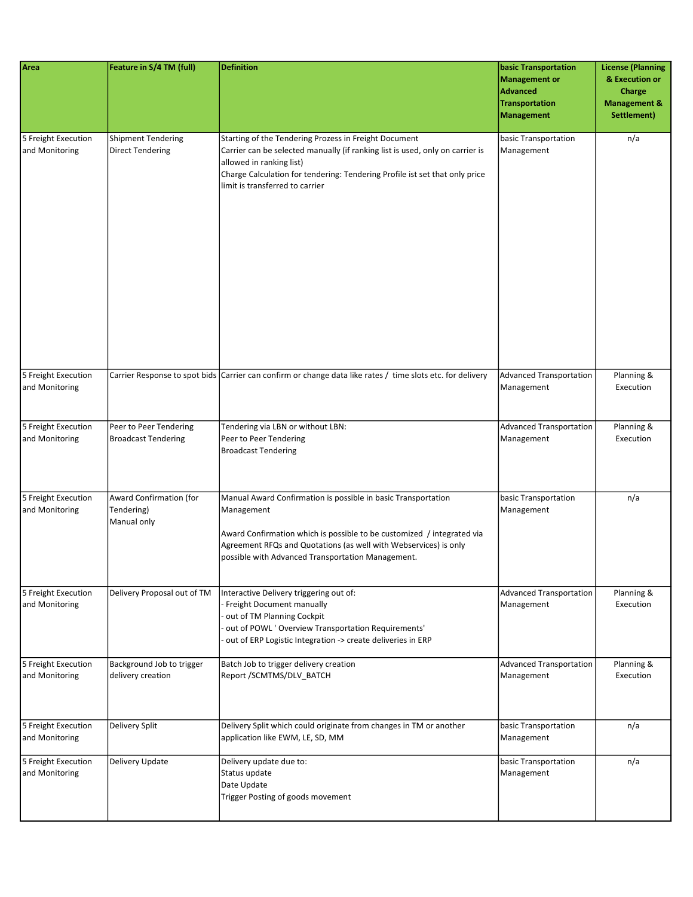| Area                                  | Feature in S/4 TM (full)                                    | <b>Definition</b>                                                                                                                                                                                                                                                                    | <b>basic Transportation</b><br><b>Management or</b><br><b>Advanced</b><br><b>Transportation</b><br><b>Management</b> | <b>License (Planning</b><br>& Execution or<br><b>Charge</b><br><b>Management &amp;</b><br>Settlement) |
|---------------------------------------|-------------------------------------------------------------|--------------------------------------------------------------------------------------------------------------------------------------------------------------------------------------------------------------------------------------------------------------------------------------|----------------------------------------------------------------------------------------------------------------------|-------------------------------------------------------------------------------------------------------|
| 5 Freight Execution<br>and Monitoring | <b>Shipment Tendering</b><br><b>Direct Tendering</b>        | Starting of the Tendering Prozess in Freight Document<br>Carrier can be selected manually (if ranking list is used, only on carrier is<br>allowed in ranking list)<br>Charge Calculation for tendering: Tendering Profile ist set that only price<br>limit is transferred to carrier | basic Transportation<br>Management                                                                                   | n/a                                                                                                   |
| 5 Freight Execution<br>and Monitoring |                                                             | Carrier Response to spot bids Carrier can confirm or change data like rates / time slots etc. for delivery                                                                                                                                                                           | Advanced Transportation<br>Management                                                                                | Planning &<br>Execution                                                                               |
| 5 Freight Execution<br>and Monitoring | Peer to Peer Tendering<br><b>Broadcast Tendering</b>        | Tendering via LBN or without LBN:<br>Peer to Peer Tendering<br><b>Broadcast Tendering</b>                                                                                                                                                                                            | <b>Advanced Transportation</b><br>Management                                                                         | Planning &<br>Execution                                                                               |
| 5 Freight Execution<br>and Monitoring | <b>Award Confirmation (for</b><br>Tendering)<br>Manual only | Manual Award Confirmation is possible in basic Transportation<br>Management<br>Award Confirmation which is possible to be customized / integrated via<br>Agreement RFQs and Quotations (as well with Webservices) is only<br>possible with Advanced Transportation Management.       | basic Transportation<br>Management                                                                                   | n/a                                                                                                   |
| 5 Freight Execution<br>and Monitoring | Delivery Proposal out of TM                                 | Interactive Delivery triggering out of:<br>Freight Document manually<br>out of TM Planning Cockpit<br>out of POWL ' Overview Transportation Requirements'<br>out of ERP Logistic Integration -> create deliveries in ERP                                                             | <b>Advanced Transportation</b><br>Management                                                                         | Planning &<br>Execution                                                                               |
| 5 Freight Execution<br>and Monitoring | Background Job to trigger<br>delivery creation              | Batch Job to trigger delivery creation<br>Report /SCMTMS/DLV_BATCH                                                                                                                                                                                                                   | <b>Advanced Transportation</b><br>Management                                                                         | Planning &<br>Execution                                                                               |
| 5 Freight Execution<br>and Monitoring | Delivery Split                                              | Delivery Split which could originate from changes in TM or another<br>application like EWM, LE, SD, MM                                                                                                                                                                               | basic Transportation<br>Management                                                                                   | n/a                                                                                                   |
| 5 Freight Execution<br>and Monitoring | Delivery Update                                             | Delivery update due to:<br>Status update<br>Date Update<br>Trigger Posting of goods movement                                                                                                                                                                                         | basic Transportation<br>Management                                                                                   | n/a                                                                                                   |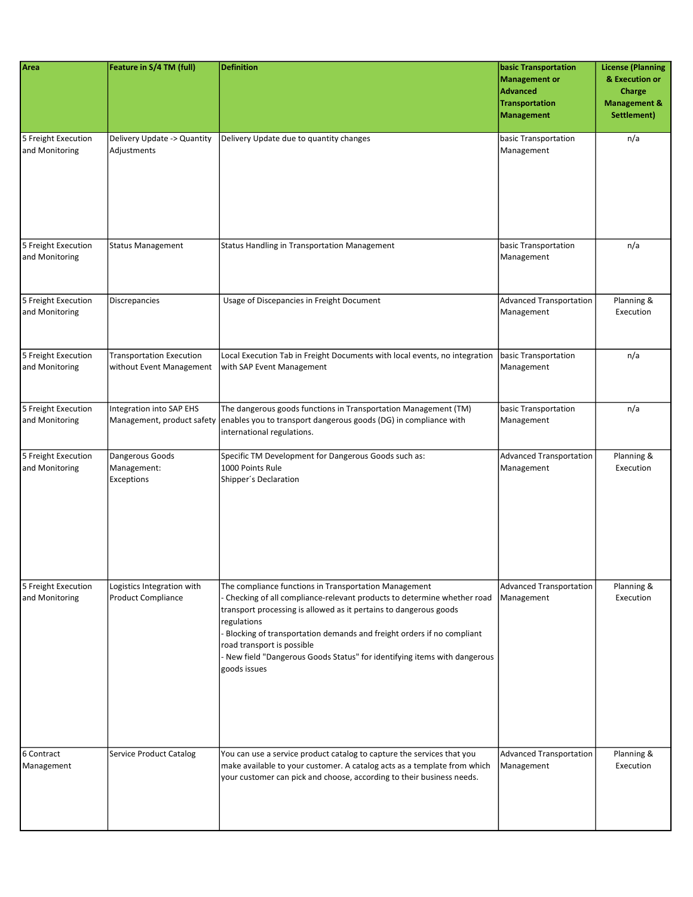| Area                                  | Feature in S/4 TM (full)                                    | <b>Definition</b>                                                                                                                                                                                                                                                                                                                                                                                                     | basic Transportation<br><b>Management or</b><br><b>Advanced</b><br><b>Transportation</b><br><b>Management</b> | <b>License (Planning</b><br>& Execution or<br>Charge<br><b>Management &amp;</b><br>Settlement) |
|---------------------------------------|-------------------------------------------------------------|-----------------------------------------------------------------------------------------------------------------------------------------------------------------------------------------------------------------------------------------------------------------------------------------------------------------------------------------------------------------------------------------------------------------------|---------------------------------------------------------------------------------------------------------------|------------------------------------------------------------------------------------------------|
| 5 Freight Execution<br>and Monitoring | Delivery Update -> Quantity<br>Adjustments                  | Delivery Update due to quantity changes                                                                                                                                                                                                                                                                                                                                                                               | basic Transportation<br>Management                                                                            | n/a                                                                                            |
| 5 Freight Execution<br>and Monitoring | <b>Status Management</b>                                    | Status Handling in Transportation Management                                                                                                                                                                                                                                                                                                                                                                          | basic Transportation<br>Management                                                                            | n/a                                                                                            |
| 5 Freight Execution<br>and Monitoring | <b>Discrepancies</b>                                        | Usage of Discepancies in Freight Document                                                                                                                                                                                                                                                                                                                                                                             | <b>Advanced Transportation</b><br>Management                                                                  | Planning &<br>Execution                                                                        |
| 5 Freight Execution<br>and Monitoring | <b>Transportation Execution</b><br>without Event Management | Local Execution Tab in Freight Documents with local events, no integration<br>with SAP Event Management                                                                                                                                                                                                                                                                                                               | basic Transportation<br>Management                                                                            | n/a                                                                                            |
| 5 Freight Execution<br>and Monitoring | Integration into SAP EHS<br>Management, product safety      | The dangerous goods functions in Transportation Management (TM)<br>enables you to transport dangerous goods (DG) in compliance with<br>international regulations.                                                                                                                                                                                                                                                     | basic Transportation<br>Management                                                                            | n/a                                                                                            |
| 5 Freight Execution<br>and Monitoring | Dangerous Goods<br>Management:<br>Exceptions                | Specific TM Development for Dangerous Goods such as:<br>1000 Points Rule<br>Shipper's Declaration                                                                                                                                                                                                                                                                                                                     | <b>Advanced Transportation</b><br>Management                                                                  | Planning &<br>Execution                                                                        |
| 5 Freight Execution<br>and Monitoring | Logistics Integration with<br><b>Product Compliance</b>     | The compliance functions in Transportation Management<br>Checking of all compliance-relevant products to determine whether road<br>transport processing is allowed as it pertains to dangerous goods<br>regulations<br>Blocking of transportation demands and freight orders if no compliant<br>road transport is possible<br>New field "Dangerous Goods Status" for identifying items with dangerous<br>goods issues | <b>Advanced Transportation</b><br>Management                                                                  | Planning &<br>Execution                                                                        |
| 6 Contract<br>Management              | <b>Service Product Catalog</b>                              | You can use a service product catalog to capture the services that you<br>make available to your customer. A catalog acts as a template from which<br>your customer can pick and choose, according to their business needs.                                                                                                                                                                                           | <b>Advanced Transportation</b><br>Management                                                                  | Planning &<br>Execution                                                                        |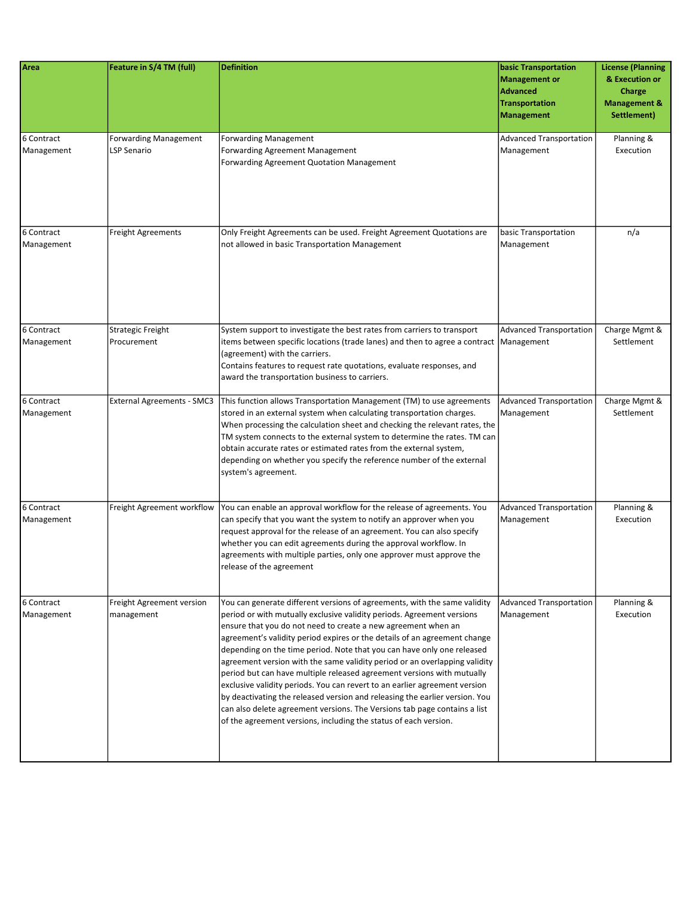| Area                     | Feature in S/4 TM (full)                    | <b>Definition</b>                                                                                                                                                                                                                                                                                                                                                                                                                                                                                                                                                                                                                                                                                                                                                                                                                                 | <b>basic Transportation</b><br><b>Management or</b><br><b>Advanced</b><br><b>Transportation</b><br><b>Management</b> | <b>License (Planning</b><br>& Execution or<br>Charge<br><b>Management &amp;</b><br>Settlement) |
|--------------------------|---------------------------------------------|---------------------------------------------------------------------------------------------------------------------------------------------------------------------------------------------------------------------------------------------------------------------------------------------------------------------------------------------------------------------------------------------------------------------------------------------------------------------------------------------------------------------------------------------------------------------------------------------------------------------------------------------------------------------------------------------------------------------------------------------------------------------------------------------------------------------------------------------------|----------------------------------------------------------------------------------------------------------------------|------------------------------------------------------------------------------------------------|
| 6 Contract<br>Management | <b>Forwarding Management</b><br>LSP Senario | <b>Forwarding Management</b><br>Forwarding Agreement Management<br><b>Forwarding Agreement Quotation Management</b>                                                                                                                                                                                                                                                                                                                                                                                                                                                                                                                                                                                                                                                                                                                               | <b>Advanced Transportation</b><br>Management                                                                         | Planning &<br>Execution                                                                        |
| 6 Contract<br>Management | <b>Freight Agreements</b>                   | Only Freight Agreements can be used. Freight Agreement Quotations are<br>not allowed in basic Transportation Management                                                                                                                                                                                                                                                                                                                                                                                                                                                                                                                                                                                                                                                                                                                           | basic Transportation<br>Management                                                                                   | n/a                                                                                            |
| 6 Contract<br>Management | <b>Strategic Freight</b><br>Procurement     | System support to investigate the best rates from carriers to transport<br>items between specific locations (trade lanes) and then to agree a contract   Management<br>(agreement) with the carriers.<br>Contains features to request rate quotations, evaluate responses, and<br>award the transportation business to carriers.                                                                                                                                                                                                                                                                                                                                                                                                                                                                                                                  | <b>Advanced Transportation</b>                                                                                       | Charge Mgmt &<br>Settlement                                                                    |
| 6 Contract<br>Management | <b>External Agreements - SMC3</b>           | This function allows Transportation Management (TM) to use agreements<br>stored in an external system when calculating transportation charges.<br>When processing the calculation sheet and checking the relevant rates, the<br>TM system connects to the external system to determine the rates. TM can<br>obtain accurate rates or estimated rates from the external system,<br>depending on whether you specify the reference number of the external<br>system's agreement.                                                                                                                                                                                                                                                                                                                                                                    | <b>Advanced Transportation</b><br>Management                                                                         | Charge Mgmt &<br>Settlement                                                                    |
| 6 Contract<br>Management | Freight Agreement workflow                  | You can enable an approval workflow for the release of agreements. You<br>can specify that you want the system to notify an approver when you<br>request approval for the release of an agreement. You can also specify<br>whether you can edit agreements during the approval workflow. In<br>agreements with multiple parties, only one approver must approve the<br>release of the agreement                                                                                                                                                                                                                                                                                                                                                                                                                                                   | <b>Advanced Transportation</b><br>Management                                                                         | Planning &<br>Execution                                                                        |
| 6 Contract<br>Management | Freight Agreement version<br>management     | You can generate different versions of agreements, with the same validity<br>period or with mutually exclusive validity periods. Agreement versions<br>ensure that you do not need to create a new agreement when an<br>agreement's validity period expires or the details of an agreement change<br>depending on the time period. Note that you can have only one released<br>agreement version with the same validity period or an overlapping validity<br>period but can have multiple released agreement versions with mutually<br>exclusive validity periods. You can revert to an earlier agreement version<br>by deactivating the released version and releasing the earlier version. You<br>can also delete agreement versions. The Versions tab page contains a list<br>of the agreement versions, including the status of each version. | <b>Advanced Transportation</b><br>Management                                                                         | Planning &<br>Execution                                                                        |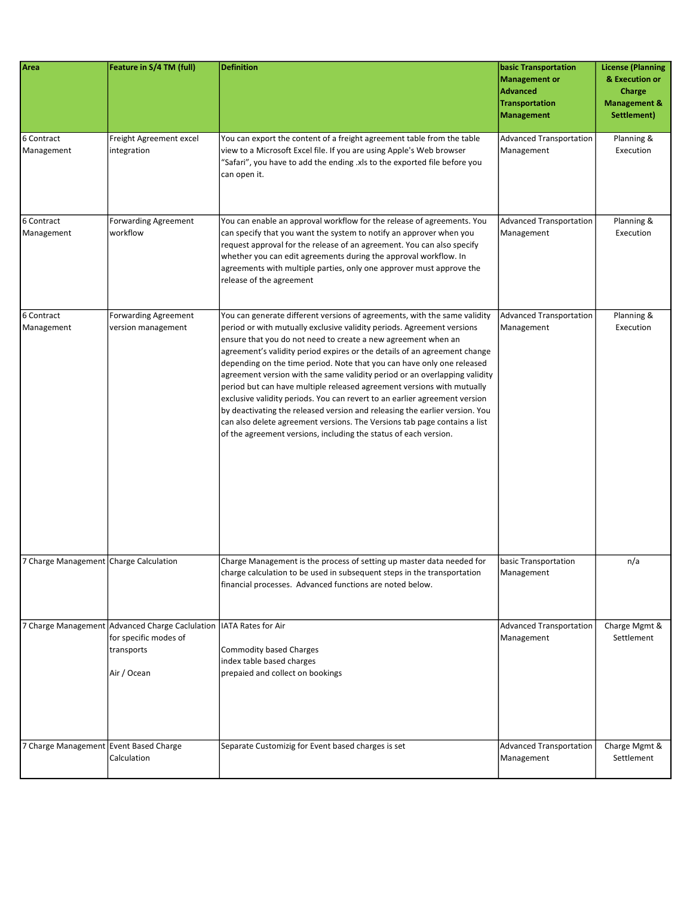| Area                                   | Feature in S/4 TM (full)                                                                                                   | <b>Definition</b>                                                                                                                                                                                                                                                                                                                                                                                                                                                                                                                                                                                                                                                                                                                                                                                                                                 | <b>basic Transportation</b><br>Management or<br><b>Advanced</b><br><b>Transportation</b><br><b>Management</b> | <b>License (Planning</b><br>& Execution or<br>Charge<br><b>Management &amp;</b><br>Settlement) |
|----------------------------------------|----------------------------------------------------------------------------------------------------------------------------|---------------------------------------------------------------------------------------------------------------------------------------------------------------------------------------------------------------------------------------------------------------------------------------------------------------------------------------------------------------------------------------------------------------------------------------------------------------------------------------------------------------------------------------------------------------------------------------------------------------------------------------------------------------------------------------------------------------------------------------------------------------------------------------------------------------------------------------------------|---------------------------------------------------------------------------------------------------------------|------------------------------------------------------------------------------------------------|
| 6 Contract<br>Management               | Freight Agreement excel<br>integration                                                                                     | You can export the content of a freight agreement table from the table<br>view to a Microsoft Excel file. If you are using Apple's Web browser<br>"Safari", you have to add the ending .xls to the exported file before you<br>can open it.                                                                                                                                                                                                                                                                                                                                                                                                                                                                                                                                                                                                       | Advanced Transportation<br>Management                                                                         | Planning &<br>Execution                                                                        |
| 6 Contract<br>Management               | <b>Forwarding Agreement</b><br>workflow                                                                                    | You can enable an approval workflow for the release of agreements. You<br>can specify that you want the system to notify an approver when you<br>request approval for the release of an agreement. You can also specify<br>whether you can edit agreements during the approval workflow. In<br>agreements with multiple parties, only one approver must approve the<br>release of the agreement                                                                                                                                                                                                                                                                                                                                                                                                                                                   | Advanced Transportation<br>Management                                                                         | Planning &<br>Execution                                                                        |
| 6 Contract<br>Management               | <b>Forwarding Agreement</b><br>version management                                                                          | You can generate different versions of agreements, with the same validity<br>period or with mutually exclusive validity periods. Agreement versions<br>ensure that you do not need to create a new agreement when an<br>agreement's validity period expires or the details of an agreement change<br>depending on the time period. Note that you can have only one released<br>agreement version with the same validity period or an overlapping validity<br>period but can have multiple released agreement versions with mutually<br>exclusive validity periods. You can revert to an earlier agreement version<br>by deactivating the released version and releasing the earlier version. You<br>can also delete agreement versions. The Versions tab page contains a list<br>of the agreement versions, including the status of each version. | Advanced Transportation<br>Management                                                                         | Planning &<br>Execution                                                                        |
| 7 Charge Management Charge Calculation |                                                                                                                            | Charge Management is the process of setting up master data needed for<br>charge calculation to be used in subsequent steps in the transportation<br>financial processes. Advanced functions are noted below.                                                                                                                                                                                                                                                                                                                                                                                                                                                                                                                                                                                                                                      | basic Transportation<br>Management                                                                            | n/a                                                                                            |
|                                        | 7 Charge Management Advanced Charge Caclulation   IATA Rates for Air<br>for specific modes of<br>transports<br>Air / Ocean | <b>Commodity based Charges</b><br>index table based charges<br>prepaied and collect on bookings                                                                                                                                                                                                                                                                                                                                                                                                                                                                                                                                                                                                                                                                                                                                                   | <b>Advanced Transportation</b><br>Management                                                                  | Charge Mgmt &<br>Settlement                                                                    |
| 7 Charge Management Event Based Charge | Calculation                                                                                                                | Separate Customizig for Event based charges is set                                                                                                                                                                                                                                                                                                                                                                                                                                                                                                                                                                                                                                                                                                                                                                                                | Advanced Transportation<br>Management                                                                         | Charge Mgmt &<br>Settlement                                                                    |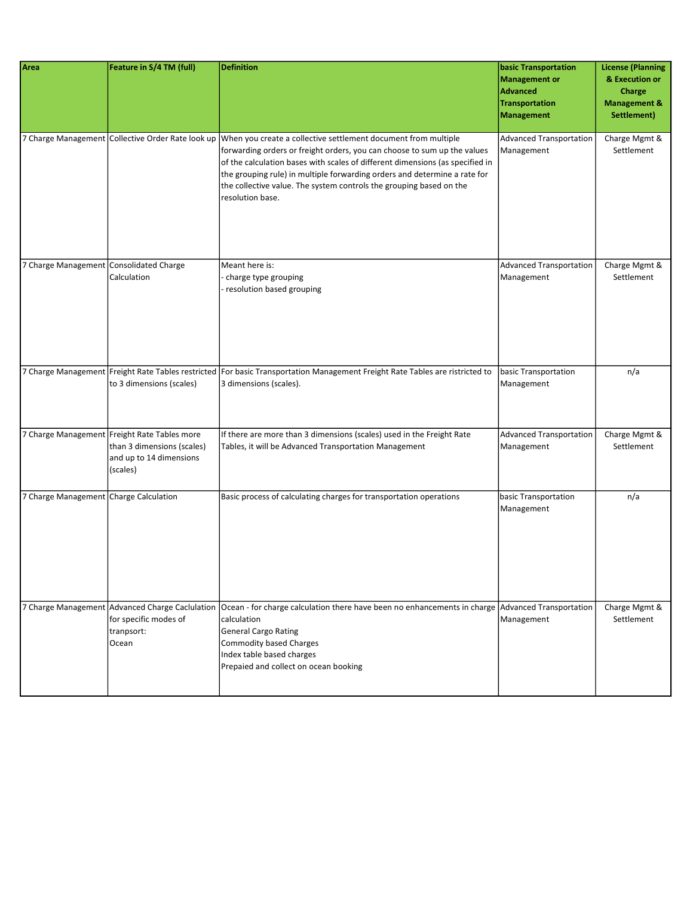| Area                                    | Feature in S/4 TM (full)                                                                                          | <b>Definition</b>                                                                                                                                                                                                                                                                                                                                                                                                                                     | <b>basic Transportation</b><br>Management or<br>Advanced<br>Transportation<br>Management | <b>License (Planning</b><br>& Execution or<br>Charge<br><b>Management &amp;</b><br>Settlement) |
|-----------------------------------------|-------------------------------------------------------------------------------------------------------------------|-------------------------------------------------------------------------------------------------------------------------------------------------------------------------------------------------------------------------------------------------------------------------------------------------------------------------------------------------------------------------------------------------------------------------------------------------------|------------------------------------------------------------------------------------------|------------------------------------------------------------------------------------------------|
|                                         |                                                                                                                   | 7 Charge Management Collective Order Rate look up When you create a collective settlement document from multiple<br>forwarding orders or freight orders, you can choose to sum up the values<br>of the calculation bases with scales of different dimensions (as specified in<br>the grouping rule) in multiple forwarding orders and determine a rate for<br>the collective value. The system controls the grouping based on the<br>resolution base. | Advanced Transportation<br>Management                                                    | Charge Mgmt &<br>Settlement                                                                    |
| 7 Charge Management Consolidated Charge | Calculation                                                                                                       | Meant here is:<br>charge type grouping<br>resolution based grouping                                                                                                                                                                                                                                                                                                                                                                                   | Advanced Transportation<br>Management                                                    | Charge Mgmt &<br>Settlement                                                                    |
|                                         | to 3 dimensions (scales)                                                                                          | 7 Charge Management Freight Rate Tables restricted For basic Transportation Management Freight Rate Tables are ristricted to<br>3 dimensions (scales).                                                                                                                                                                                                                                                                                                | basic Transportation<br>Management                                                       | n/a                                                                                            |
|                                         | 7 Charge Management Freight Rate Tables more<br>than 3 dimensions (scales)<br>and up to 14 dimensions<br>(scales) | If there are more than 3 dimensions (scales) used in the Freight Rate<br>Tables, it will be Advanced Transportation Management                                                                                                                                                                                                                                                                                                                        | Advanced Transportation<br>Management                                                    | Charge Mgmt &<br>Settlement                                                                    |
| 7 Charge Management Charge Calculation  |                                                                                                                   | Basic process of calculating charges for transportation operations                                                                                                                                                                                                                                                                                                                                                                                    | basic Transportation<br>Management                                                       | n/a                                                                                            |
|                                         | for specific modes of<br>tranpsort:<br>Ocean                                                                      | 7 Charge Management Advanced Charge Caclulation   Ocean - for charge calculation there have been no enhancements in charge   Advanced Transportation<br>calculation<br><b>General Cargo Rating</b><br><b>Commodity based Charges</b><br>Index table based charges<br>Prepaied and collect on ocean booking                                                                                                                                            | Management                                                                               | Charge Mgmt &<br>Settlement                                                                    |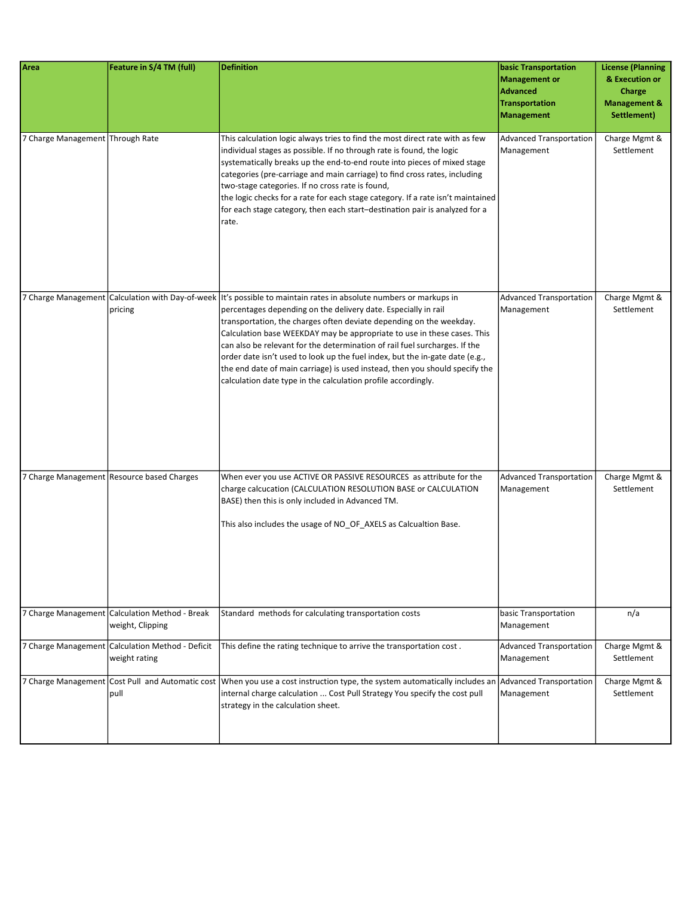| Area                             | Feature in S/4 TM (full)                                           | <b>Definition</b>                                                                                                                                                                                                                                                                                                                                                                                                                                                                                                                                                                                                                                      | <b>basic Transportation</b><br><b>Management or</b><br><b>Advanced</b><br><b>Transportation</b><br><b>Management</b> | <b>License (Planning</b><br>& Execution or<br>Charge<br><b>Management &amp;</b><br>Settlement) |
|----------------------------------|--------------------------------------------------------------------|--------------------------------------------------------------------------------------------------------------------------------------------------------------------------------------------------------------------------------------------------------------------------------------------------------------------------------------------------------------------------------------------------------------------------------------------------------------------------------------------------------------------------------------------------------------------------------------------------------------------------------------------------------|----------------------------------------------------------------------------------------------------------------------|------------------------------------------------------------------------------------------------|
| 7 Charge Management Through Rate |                                                                    | This calculation logic always tries to find the most direct rate with as few<br>individual stages as possible. If no through rate is found, the logic<br>systematically breaks up the end-to-end route into pieces of mixed stage<br>categories (pre-carriage and main carriage) to find cross rates, including<br>two-stage categories. If no cross rate is found,<br>the logic checks for a rate for each stage category. If a rate isn't maintained<br>for each stage category, then each start-destination pair is analyzed for a<br>rate.                                                                                                         | <b>Advanced Transportation</b><br>Management                                                                         | Charge Mgmt &<br>Settlement                                                                    |
|                                  | pricing                                                            | 7 Charge Management Calculation with Day-of-week   It's possible to maintain rates in absolute numbers or markups in<br>percentages depending on the delivery date. Especially in rail<br>transportation, the charges often deviate depending on the weekday.<br>Calculation base WEEKDAY may be appropriate to use in these cases. This<br>can also be relevant for the determination of rail fuel surcharges. If the<br>order date isn't used to look up the fuel index, but the in-gate date (e.g.,<br>the end date of main carriage) is used instead, then you should specify the<br>calculation date type in the calculation profile accordingly. | <b>Advanced Transportation</b><br>Management                                                                         | Charge Mgmt &<br>Settlement                                                                    |
|                                  | 7 Charge Management Resource based Charges                         | When ever you use ACTIVE OR PASSIVE RESOURCES as attribute for the<br>charge calcucation (CALCULATION RESOLUTION BASE or CALCULATION<br>BASE) then this is only included in Advanced TM.<br>This also includes the usage of NO_OF_AXELS as Calcualtion Base.                                                                                                                                                                                                                                                                                                                                                                                           | <b>Advanced Transportation</b><br>Management                                                                         | Charge Mgmt &<br>Settlement                                                                    |
|                                  | 7 Charge Management Calculation Method - Break<br>weight, Clipping | Standard methods for calculating transportation costs                                                                                                                                                                                                                                                                                                                                                                                                                                                                                                                                                                                                  | basic Transportation<br>Management                                                                                   | n/a                                                                                            |
|                                  | 7 Charge Management Calculation Method - Deficit<br>weight rating  | This define the rating technique to arrive the transportation cost.                                                                                                                                                                                                                                                                                                                                                                                                                                                                                                                                                                                    | <b>Advanced Transportation</b><br>Management                                                                         | Charge Mgmt &<br>Settlement                                                                    |
|                                  | pull                                                               | 7 Charge Management Cost Pull and Automatic cost When you use a cost instruction type, the system automatically includes an Advanced Transportation<br>internal charge calculation  Cost Pull Strategy You specify the cost pull<br>strategy in the calculation sheet.                                                                                                                                                                                                                                                                                                                                                                                 | Management                                                                                                           | Charge Mgmt &<br>Settlement                                                                    |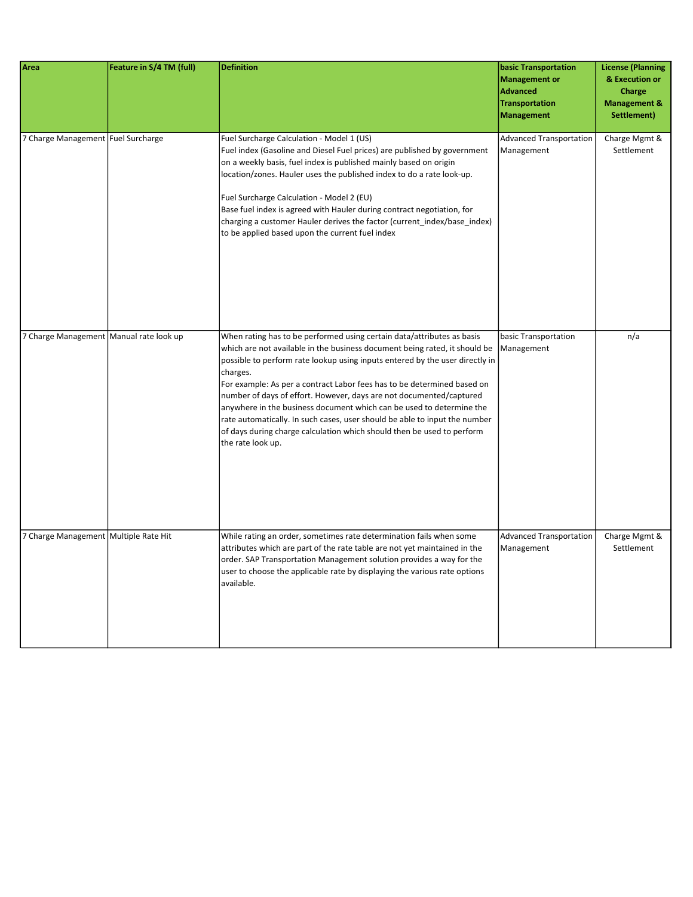| Area                                      | Feature in S/4 TM (full) | <b>Definition</b>                                                                                                                                                                                                                                                                                                                                                                                                                                                                                                                                                                                                                                       | <b>basic Transportation</b><br><b>Management or</b><br><b>Advanced</b><br><b>Transportation</b><br><b>Management</b> | <b>License (Planning</b><br>& Execution or<br>Charge<br><b>Management &amp;</b><br>Settlement) |
|-------------------------------------------|--------------------------|---------------------------------------------------------------------------------------------------------------------------------------------------------------------------------------------------------------------------------------------------------------------------------------------------------------------------------------------------------------------------------------------------------------------------------------------------------------------------------------------------------------------------------------------------------------------------------------------------------------------------------------------------------|----------------------------------------------------------------------------------------------------------------------|------------------------------------------------------------------------------------------------|
| 7 Charge Management Fuel Surcharge        |                          | Fuel Surcharge Calculation - Model 1 (US)<br>Fuel index (Gasoline and Diesel Fuel prices) are published by government<br>on a weekly basis, fuel index is published mainly based on origin<br>location/zones. Hauler uses the published index to do a rate look-up.<br>Fuel Surcharge Calculation - Model 2 (EU)<br>Base fuel index is agreed with Hauler during contract negotiation, for<br>charging a customer Hauler derives the factor (current_index/base_index)<br>to be applied based upon the current fuel index                                                                                                                               | <b>Advanced Transportation</b><br>Management                                                                         | Charge Mgmt &<br>Settlement                                                                    |
| 7 Charge Management   Manual rate look up |                          | When rating has to be performed using certain data/attributes as basis<br>which are not available in the business document being rated, it should be<br>possible to perform rate lookup using inputs entered by the user directly in<br>charges.<br>For example: As per a contract Labor fees has to be determined based on<br>number of days of effort. However, days are not documented/captured<br>anywhere in the business document which can be used to determine the<br>rate automatically. In such cases, user should be able to input the number<br>of days during charge calculation which should then be used to perform<br>the rate look up. | basic Transportation<br>Management                                                                                   | n/a                                                                                            |
| 7 Charge Management Multiple Rate Hit     |                          | While rating an order, sometimes rate determination fails when some<br>attributes which are part of the rate table are not yet maintained in the<br>order. SAP Transportation Management solution provides a way for the<br>user to choose the applicable rate by displaying the various rate options<br>available.                                                                                                                                                                                                                                                                                                                                     | <b>Advanced Transportation</b><br>Management                                                                         | Charge Mgmt &<br>Settlement                                                                    |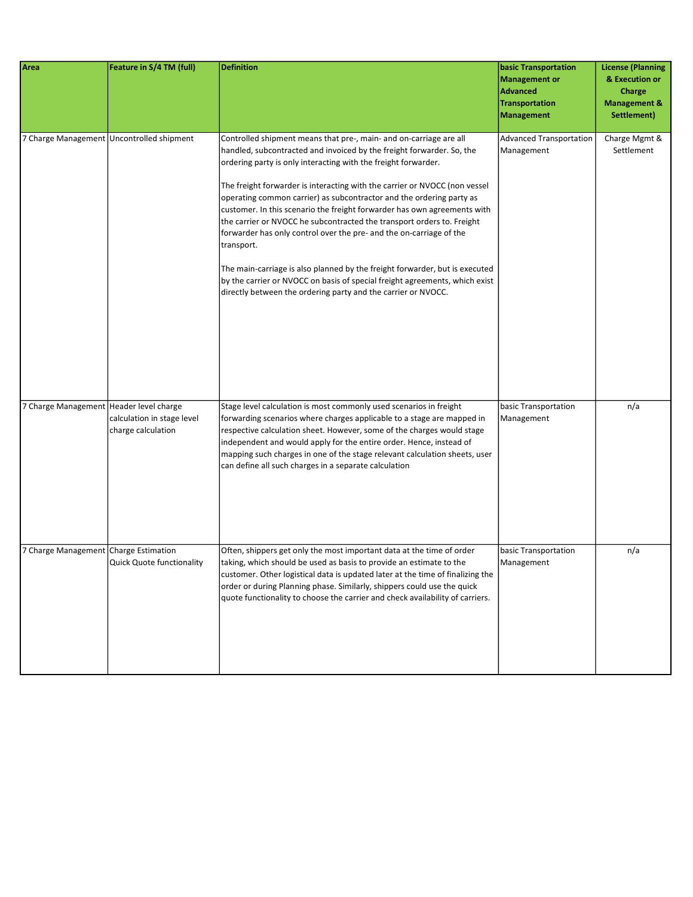| Area                                    | Feature in S/4 TM (full)                         | <b>Definition</b>                                                                                                                                                                                                                                                                                                                                                                                                                                                                                                                                                                                                                                                                                                                                                                                                                             | <b>basic Transportation</b><br><b>Management or</b><br><b>Advanced</b><br><b>Transportation</b><br><b>Management</b> | <b>License (Planning</b><br>& Execution or<br>Charge<br><b>Management &amp;</b><br>Settlement) |
|-----------------------------------------|--------------------------------------------------|-----------------------------------------------------------------------------------------------------------------------------------------------------------------------------------------------------------------------------------------------------------------------------------------------------------------------------------------------------------------------------------------------------------------------------------------------------------------------------------------------------------------------------------------------------------------------------------------------------------------------------------------------------------------------------------------------------------------------------------------------------------------------------------------------------------------------------------------------|----------------------------------------------------------------------------------------------------------------------|------------------------------------------------------------------------------------------------|
|                                         | 7 Charge Management Uncontrolled shipment        | Controlled shipment means that pre-, main- and on-carriage are all<br>handled, subcontracted and invoiced by the freight forwarder. So, the<br>ordering party is only interacting with the freight forwarder.<br>The freight forwarder is interacting with the carrier or NVOCC (non vessel<br>operating common carrier) as subcontractor and the ordering party as<br>customer. In this scenario the freight forwarder has own agreements with<br>the carrier or NVOCC he subcontracted the transport orders to. Freight<br>forwarder has only control over the pre- and the on-carriage of the<br>transport.<br>The main-carriage is also planned by the freight forwarder, but is executed<br>by the carrier or NVOCC on basis of special freight agreements, which exist<br>directly between the ordering party and the carrier or NVOCC. | <b>Advanced Transportation</b><br>Management                                                                         | Charge Mgmt &<br>Settlement                                                                    |
| 7 Charge Management Header level charge | calculation in stage level<br>charge calculation | Stage level calculation is most commonly used scenarios in freight<br>forwarding scenarios where charges applicable to a stage are mapped in<br>respective calculation sheet. However, some of the charges would stage<br>independent and would apply for the entire order. Hence, instead of<br>mapping such charges in one of the stage relevant calculation sheets, user<br>can define all such charges in a separate calculation                                                                                                                                                                                                                                                                                                                                                                                                          | basic Transportation<br>Management                                                                                   | n/a                                                                                            |
| 7 Charge Management Charge Estimation   | <b>Quick Quote functionality</b>                 | Often, shippers get only the most important data at the time of order<br>taking, which should be used as basis to provide an estimate to the<br>customer. Other logistical data is updated later at the time of finalizing the<br>order or during Planning phase. Similarly, shippers could use the quick<br>quote functionality to choose the carrier and check availability of carriers.                                                                                                                                                                                                                                                                                                                                                                                                                                                    | basic Transportation<br>Management                                                                                   | n/a                                                                                            |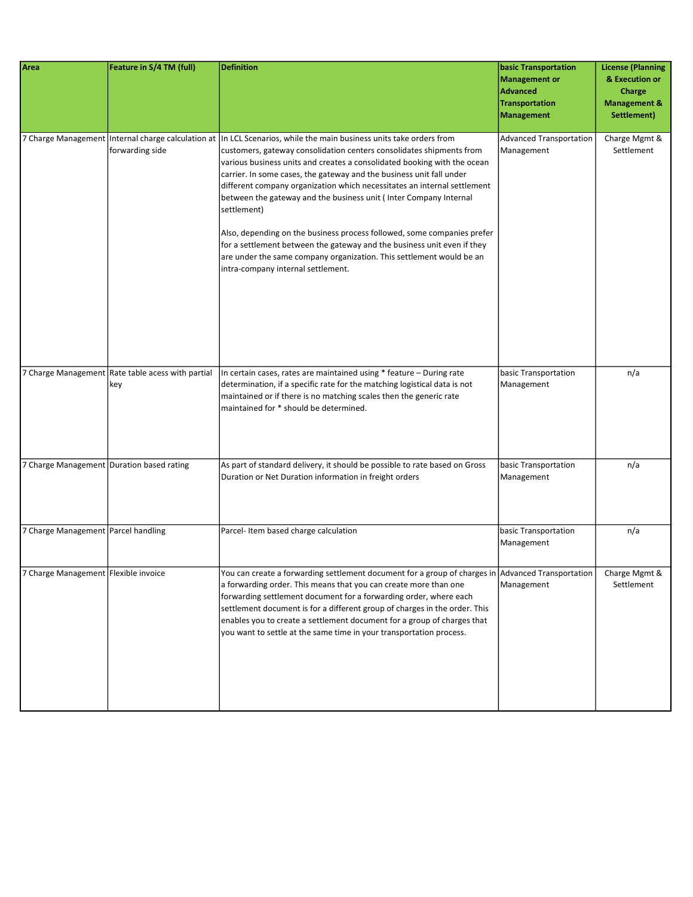| Area                                      | Feature in S/4 TM (full)                                 | <b>Definition</b>                                                                                                                                                                                                                                                                                                                                                                                                                                                                                                                                                                                                                                                                                                                                                                   | <b>basic Transportation</b><br><b>Management or</b><br><b>Advanced</b><br><b>Transportation</b><br><b>Management</b> | <b>License (Planning</b><br>& Execution or<br>Charge<br><b>Management &amp;</b><br>Settlement) |
|-------------------------------------------|----------------------------------------------------------|-------------------------------------------------------------------------------------------------------------------------------------------------------------------------------------------------------------------------------------------------------------------------------------------------------------------------------------------------------------------------------------------------------------------------------------------------------------------------------------------------------------------------------------------------------------------------------------------------------------------------------------------------------------------------------------------------------------------------------------------------------------------------------------|----------------------------------------------------------------------------------------------------------------------|------------------------------------------------------------------------------------------------|
|                                           | forwarding side                                          | 7 Charge Management Internal charge calculation at In LCL Scenarios, while the main business units take orders from<br>customers, gateway consolidation centers consolidates shipments from<br>various business units and creates a consolidated booking with the ocean<br>carrier. In some cases, the gateway and the business unit fall under<br>different company organization which necessitates an internal settlement<br>between the gateway and the business unit (Inter Company Internal<br>settlement)<br>Also, depending on the business process followed, some companies prefer<br>for a settlement between the gateway and the business unit even if they<br>are under the same company organization. This settlement would be an<br>intra-company internal settlement. | <b>Advanced Transportation</b><br>Management                                                                         | Charge Mgmt &<br>Settlement                                                                    |
|                                           | 7 Charge Management Rate table acess with partial<br>key | In certain cases, rates are maintained using * feature - During rate<br>determination, if a specific rate for the matching logistical data is not<br>maintained or if there is no matching scales then the generic rate<br>maintained for * should be determined.                                                                                                                                                                                                                                                                                                                                                                                                                                                                                                                   | basic Transportation<br>Management                                                                                   | n/a                                                                                            |
| 7 Charge Management Duration based rating |                                                          | As part of standard delivery, it should be possible to rate based on Gross<br>Duration or Net Duration information in freight orders                                                                                                                                                                                                                                                                                                                                                                                                                                                                                                                                                                                                                                                | basic Transportation<br>Management                                                                                   | n/a                                                                                            |
| 7 Charge Management Parcel handling       |                                                          | Parcel-Item based charge calculation                                                                                                                                                                                                                                                                                                                                                                                                                                                                                                                                                                                                                                                                                                                                                | basic Transportation<br>Management                                                                                   | n/a                                                                                            |
| 7 Charge Management Flexible invoice      |                                                          | You can create a forwarding settlement document for a group of charges in Advanced Transportation<br>a forwarding order. This means that you can create more than one<br>forwarding settlement document for a forwarding order, where each<br>settlement document is for a different group of charges in the order. This<br>enables you to create a settlement document for a group of charges that<br>you want to settle at the same time in your transportation process.                                                                                                                                                                                                                                                                                                          | Management                                                                                                           | Charge Mgmt &<br>Settlement                                                                    |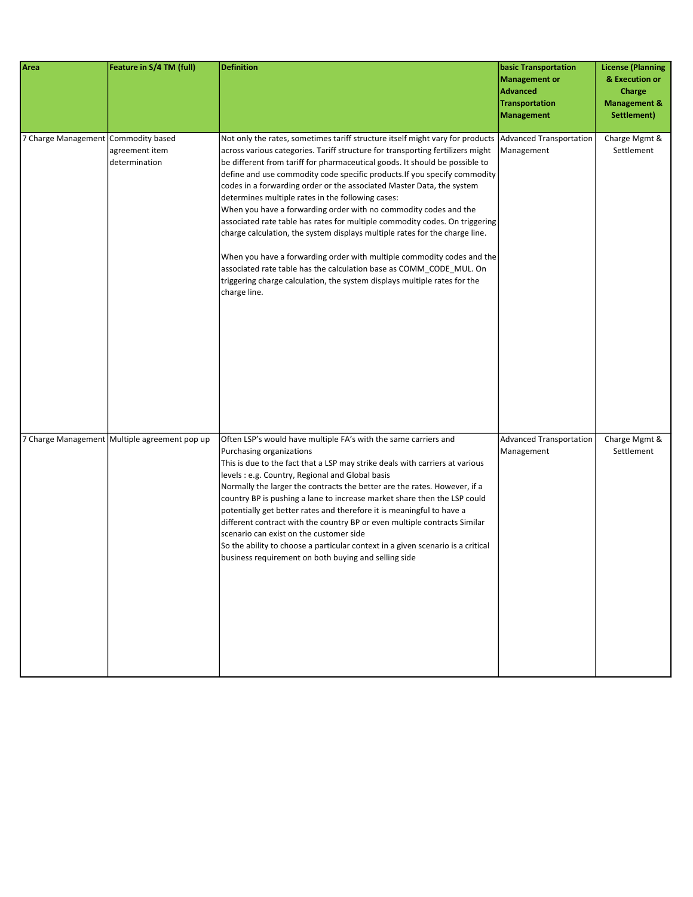| <b>Area</b>                         | Feature in S/4 TM (full)                      | <b>Definition</b>                                                                                                                                                                                                                                                                                                                                                                                                                                                                                                                                                                                                                                                                                                                                                                                                                                                                                                                         | <b>basic Transportation</b><br><b>Management or</b><br><b>Advanced</b><br><b>Transportation</b><br><b>Management</b> | <b>License (Planning</b><br>& Execution or<br>Charge<br><b>Management &amp;</b><br>Settlement) |
|-------------------------------------|-----------------------------------------------|-------------------------------------------------------------------------------------------------------------------------------------------------------------------------------------------------------------------------------------------------------------------------------------------------------------------------------------------------------------------------------------------------------------------------------------------------------------------------------------------------------------------------------------------------------------------------------------------------------------------------------------------------------------------------------------------------------------------------------------------------------------------------------------------------------------------------------------------------------------------------------------------------------------------------------------------|----------------------------------------------------------------------------------------------------------------------|------------------------------------------------------------------------------------------------|
| 7 Charge Management Commodity based | agreement item<br>determination               | Not only the rates, sometimes tariff structure itself might vary for products<br>across various categories. Tariff structure for transporting fertilizers might<br>be different from tariff for pharmaceutical goods. It should be possible to<br>define and use commodity code specific products. If you specify commodity<br>codes in a forwarding order or the associated Master Data, the system<br>determines multiple rates in the following cases:<br>When you have a forwarding order with no commodity codes and the<br>associated rate table has rates for multiple commodity codes. On triggering<br>charge calculation, the system displays multiple rates for the charge line.<br>When you have a forwarding order with multiple commodity codes and the<br>associated rate table has the calculation base as COMM_CODE_MUL. On<br>triggering charge calculation, the system displays multiple rates for the<br>charge line. | Advanced Transportation<br>Management                                                                                | Charge Mgmt &<br>Settlement                                                                    |
|                                     | 7 Charge Management Multiple agreement pop up | Often LSP's would have multiple FA's with the same carriers and<br>Purchasing organizations<br>This is due to the fact that a LSP may strike deals with carriers at various<br>levels: e.g. Country, Regional and Global basis<br>Normally the larger the contracts the better are the rates. However, if a<br>country BP is pushing a lane to increase market share then the LSP could<br>potentially get better rates and therefore it is meaningful to have a<br>different contract with the country BP or even multiple contracts Similar<br>scenario can exist on the customer side<br>So the ability to choose a particular context in a given scenario is a critical<br>business requirement on both buying and selling side                                                                                                                                                                                                       | <b>Advanced Transportation</b><br>Management                                                                         | Charge Mgmt &<br>Settlement                                                                    |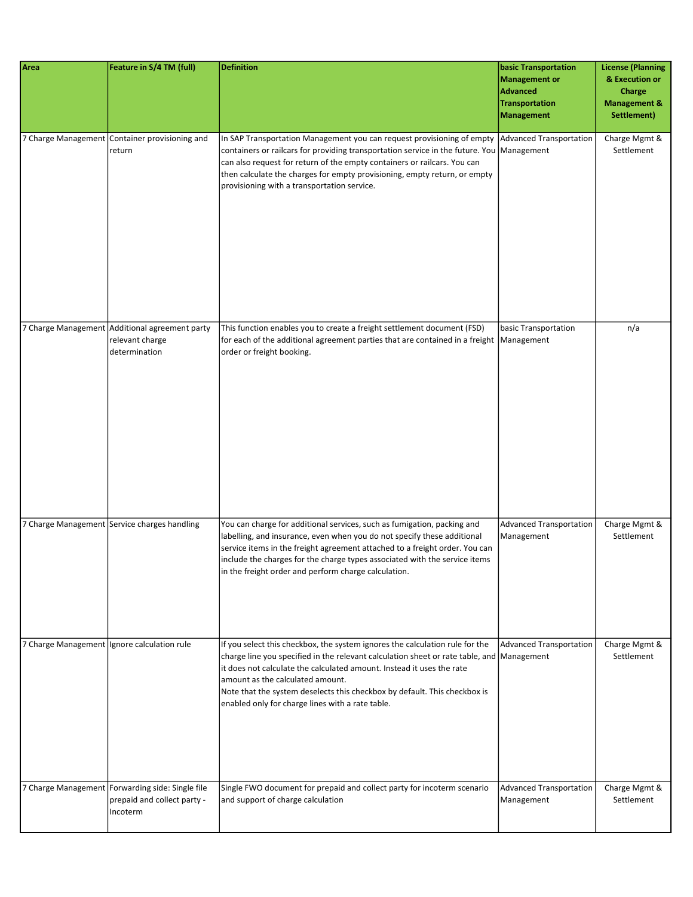| Area | Feature in S/4 TM (full)                                                                    | <b>Definition</b>                                                                                                                                                                                                                                                                                                                                                                                                       | <b>basic Transportation</b><br><b>Management or</b><br><b>Advanced</b><br><b>Transportation</b><br><b>Management</b> | <b>License (Planning</b><br>& Execution or<br>Charge<br><b>Management &amp;</b><br>Settlement) |
|------|---------------------------------------------------------------------------------------------|-------------------------------------------------------------------------------------------------------------------------------------------------------------------------------------------------------------------------------------------------------------------------------------------------------------------------------------------------------------------------------------------------------------------------|----------------------------------------------------------------------------------------------------------------------|------------------------------------------------------------------------------------------------|
|      | 7 Charge Management Container provisioning and<br>return                                    | In SAP Transportation Management you can request provisioning of empty Advanced Transportation<br>containers or railcars for providing transportation service in the future. You Management<br>can also request for return of the empty containers or railcars. You can<br>then calculate the charges for empty provisioning, empty return, or empty<br>provisioning with a transportation service.                     |                                                                                                                      | Charge Mgmt &<br>Settlement                                                                    |
|      | 7 Charge Management Additional agreement party<br>relevant charge<br>determination          | This function enables you to create a freight settlement document (FSD)<br>for each of the additional agreement parties that are contained in a freight   Management<br>order or freight booking.                                                                                                                                                                                                                       | basic Transportation                                                                                                 | n/a                                                                                            |
|      | 7 Charge Management Service charges handling                                                | You can charge for additional services, such as fumigation, packing and<br>labelling, and insurance, even when you do not specify these additional<br>service items in the freight agreement attached to a freight order. You can<br>include the charges for the charge types associated with the service items<br>in the freight order and perform charge calculation.                                                 | <b>Advanced Transportation</b><br>Management                                                                         | Charge Mgmt &<br>Settlement                                                                    |
|      | 7 Charge Management Ignore calculation rule                                                 | If you select this checkbox, the system ignores the calculation rule for the<br>charge line you specified in the relevant calculation sheet or rate table, and Management<br>it does not calculate the calculated amount. Instead it uses the rate<br>amount as the calculated amount.<br>Note that the system deselects this checkbox by default. This checkbox is<br>enabled only for charge lines with a rate table. | <b>Advanced Transportation</b>                                                                                       | Charge Mgmt &<br>Settlement                                                                    |
|      | 7 Charge Management Forwarding side: Single file<br>prepaid and collect party -<br>Incoterm | Single FWO document for prepaid and collect party for incoterm scenario<br>and support of charge calculation                                                                                                                                                                                                                                                                                                            | <b>Advanced Transportation</b><br>Management                                                                         | Charge Mgmt &<br>Settlement                                                                    |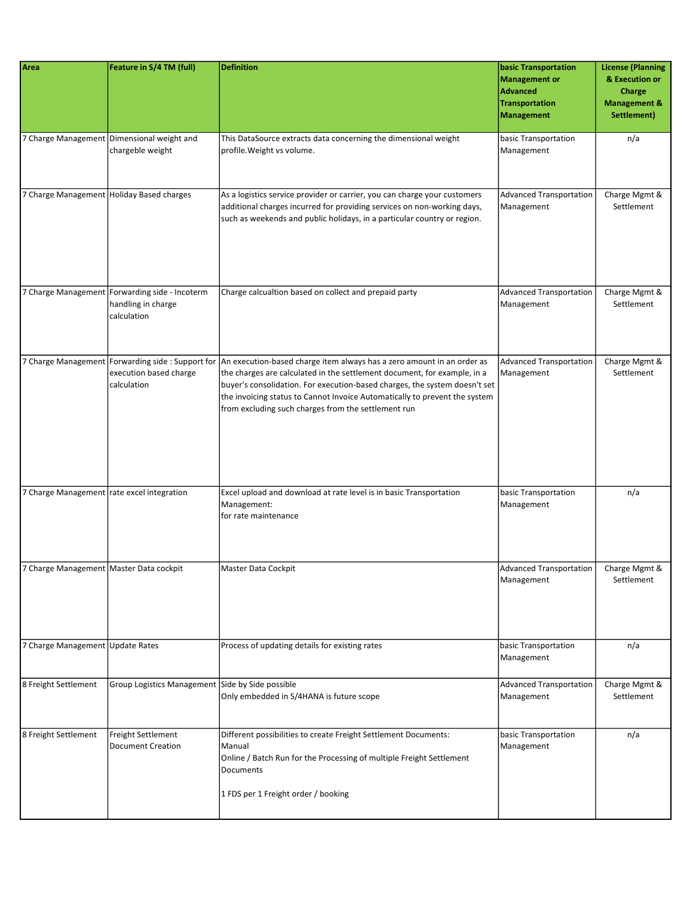| Area                                       | Feature in S/4 TM (full)                                                            | <b>Definition</b>                                                                                                                                                                                                                                                                                                                                                                                                       | <b>basic Transportation</b><br><b>Management or</b><br><b>Advanced</b><br><b>Transportation</b><br><b>Management</b> | <b>License (Planning</b><br>& Execution or<br>Charge<br><b>Management &amp;</b><br>Settlement) |
|--------------------------------------------|-------------------------------------------------------------------------------------|-------------------------------------------------------------------------------------------------------------------------------------------------------------------------------------------------------------------------------------------------------------------------------------------------------------------------------------------------------------------------------------------------------------------------|----------------------------------------------------------------------------------------------------------------------|------------------------------------------------------------------------------------------------|
|                                            | 7 Charge Management Dimensional weight and<br>chargeble weight                      | This DataSource extracts data concerning the dimensional weight<br>profile. Weight vs volume.                                                                                                                                                                                                                                                                                                                           | basic Transportation<br>Management                                                                                   | n/a                                                                                            |
|                                            | 7 Charge Management Holiday Based charges                                           | As a logistics service provider or carrier, you can charge your customers<br>additional charges incurred for providing services on non-working days,<br>such as weekends and public holidays, in a particular country or region.                                                                                                                                                                                        | <b>Advanced Transportation</b><br>Management                                                                         | Charge Mgmt &<br>Settlement                                                                    |
|                                            | 7 Charge Management Forwarding side - Incoterm<br>handling in charge<br>calculation | Charge calcualtion based on collect and prepaid party                                                                                                                                                                                                                                                                                                                                                                   | <b>Advanced Transportation</b><br>Management                                                                         | Charge Mgmt &<br>Settlement                                                                    |
|                                            | execution based charge<br>calculation                                               | 7 Charge Management Forwarding side : Support for An execution-based charge item always has a zero amount in an order as<br>the charges are calculated in the settlement document, for example, in a<br>buyer's consolidation. For execution-based charges, the system doesn't set<br>the invoicing status to Cannot Invoice Automatically to prevent the system<br>from excluding such charges from the settlement run | <b>Advanced Transportation</b><br>Management                                                                         | Charge Mgmt &<br>Settlement                                                                    |
| 7 Charge Management rate excel integration |                                                                                     | Excel upload and download at rate level is in basic Transportation<br>Management:<br>for rate maintenance                                                                                                                                                                                                                                                                                                               | basic Transportation<br>Management                                                                                   | n/a                                                                                            |
| 7 Charge Management   Master Data cockpit  |                                                                                     | Master Data Cockpit                                                                                                                                                                                                                                                                                                                                                                                                     | <b>Advanced Transportation</b><br>Management                                                                         | Charge Mgmt &<br>Settlement                                                                    |
| 7 Charge Management Update Rates           |                                                                                     | Process of updating details for existing rates                                                                                                                                                                                                                                                                                                                                                                          | basic Transportation<br>Management                                                                                   | n/a                                                                                            |
| 8 Freight Settlement                       | Group Logistics Management Side by Side possible                                    | Only embedded in S/4HANA is future scope                                                                                                                                                                                                                                                                                                                                                                                | <b>Advanced Transportation</b><br>Management                                                                         | Charge Mgmt &<br>Settlement                                                                    |
| 8 Freight Settlement                       | Freight Settlement<br><b>Document Creation</b>                                      | Different possibilities to create Freight Settlement Documents:<br>Manual<br>Online / Batch Run for the Processing of multiple Freight Settlement<br>Documents<br>1 FDS per 1 Freight order / booking                                                                                                                                                                                                                   | basic Transportation<br>Management                                                                                   | n/a                                                                                            |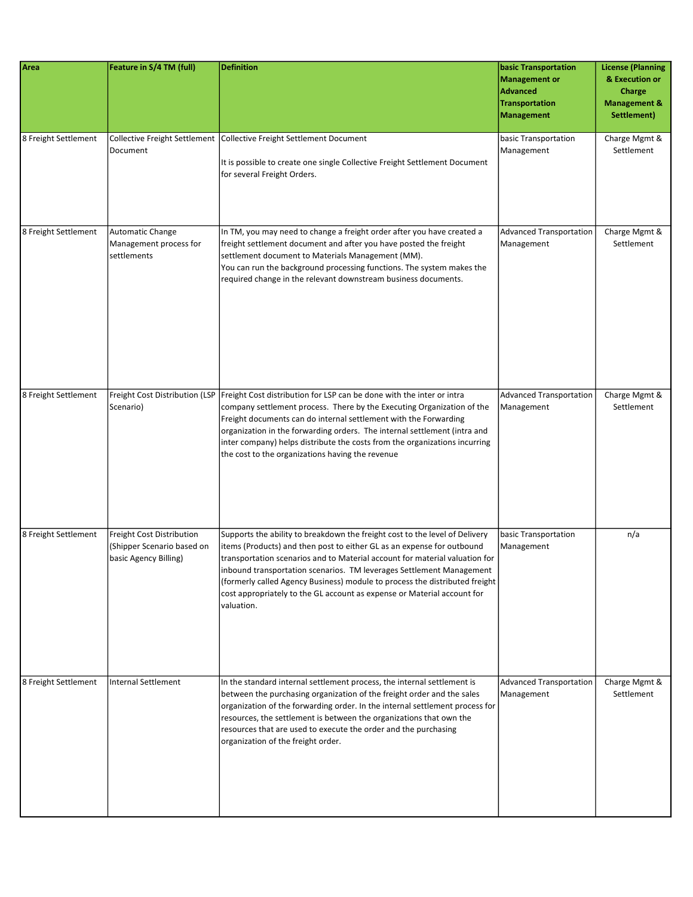| Area                 | Feature in S/4 TM (full)                                                         | <b>Definition</b>                                                                                                                                                                                                                                                                                                                                                                                                                                                                     | <b>basic Transportation</b><br><b>Management or</b><br><b>Advanced</b><br><b>Transportation</b><br><b>Management</b> | <b>License (Planning</b><br>& Execution or<br>Charge<br><b>Management &amp;</b><br>Settlement) |
|----------------------|----------------------------------------------------------------------------------|---------------------------------------------------------------------------------------------------------------------------------------------------------------------------------------------------------------------------------------------------------------------------------------------------------------------------------------------------------------------------------------------------------------------------------------------------------------------------------------|----------------------------------------------------------------------------------------------------------------------|------------------------------------------------------------------------------------------------|
| 8 Freight Settlement | Document                                                                         | Collective Freight Settlement   Collective Freight Settlement Document<br>It is possible to create one single Collective Freight Settlement Document<br>for several Freight Orders.                                                                                                                                                                                                                                                                                                   | basic Transportation<br>Management                                                                                   | Charge Mgmt &<br>Settlement                                                                    |
| 8 Freight Settlement | Automatic Change<br>Management process for<br>settlements                        | In TM, you may need to change a freight order after you have created a<br>freight settlement document and after you have posted the freight<br>settlement document to Materials Management (MM).<br>You can run the background processing functions. The system makes the<br>required change in the relevant downstream business documents.                                                                                                                                           | <b>Advanced Transportation</b><br>Management                                                                         | Charge Mgmt &<br>Settlement                                                                    |
| 8 Freight Settlement | Freight Cost Distribution (LSP<br>Scenario)                                      | Freight Cost distribution for LSP can be done with the inter or intra<br>company settlement process. There by the Executing Organization of the<br>Freight documents can do internal settlement with the Forwarding<br>organization in the forwarding orders. The internal settlement (intra and<br>inter company) helps distribute the costs from the organizations incurring<br>the cost to the organizations having the revenue                                                    | <b>Advanced Transportation</b><br>Management                                                                         | Charge Mgmt &<br>Settlement                                                                    |
| 8 Freight Settlement | Freight Cost Distribution<br>(Shipper Scenario based on<br>basic Agency Billing) | Supports the ability to breakdown the freight cost to the level of Delivery<br>litems (Products) and then post to either GL as an expense for outbound<br>transportation scenarios and to Material account for material valuation for<br>inbound transportation scenarios. TM leverages Settlement Management<br>(formerly called Agency Business) module to process the distributed freight<br>cost appropriately to the GL account as expense or Material account for<br>valuation. | basic Transportation<br>Management                                                                                   | n/a                                                                                            |
| 8 Freight Settlement | <b>Internal Settlement</b>                                                       | In the standard internal settlement process, the internal settlement is<br>between the purchasing organization of the freight order and the sales<br>organization of the forwarding order. In the internal settlement process for<br>resources, the settlement is between the organizations that own the<br>resources that are used to execute the order and the purchasing<br>organization of the freight order.                                                                     | <b>Advanced Transportation</b><br>Management                                                                         | Charge Mgmt &<br>Settlement                                                                    |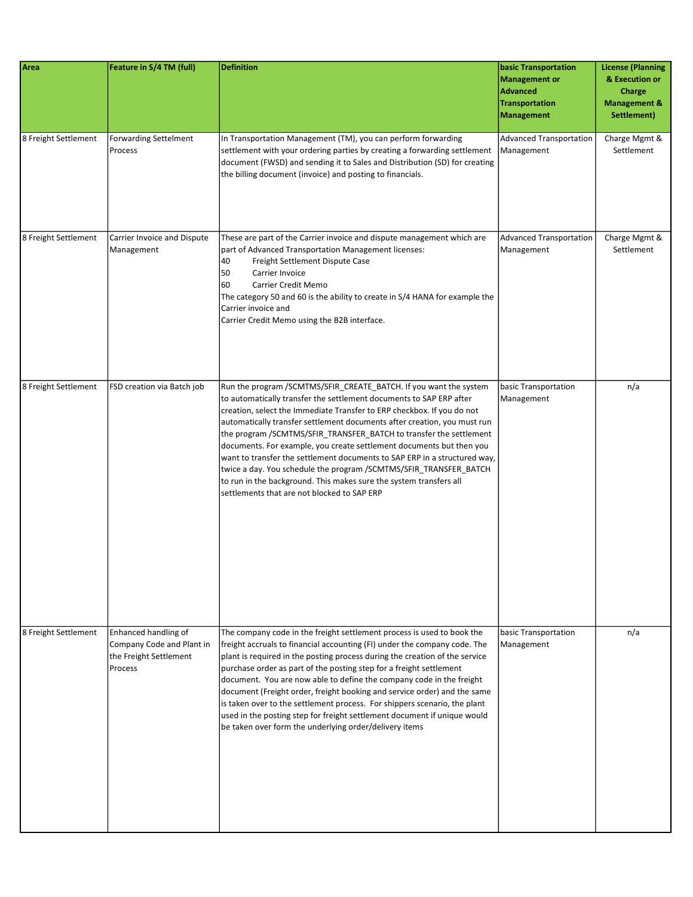| Area                 | Feature in S/4 TM (full)                                                               | <b>Definition</b>                                                                                                                                                                                                                                                                                                                                                                                                                                                                                                                                                                                                                                                                                                   | <b>basic Transportation</b><br><b>Management or</b><br><b>Advanced</b><br><b>Transportation</b><br><b>Management</b> | <b>License (Planning</b><br>& Execution or<br>Charge<br><b>Management &amp;</b><br>Settlement) |
|----------------------|----------------------------------------------------------------------------------------|---------------------------------------------------------------------------------------------------------------------------------------------------------------------------------------------------------------------------------------------------------------------------------------------------------------------------------------------------------------------------------------------------------------------------------------------------------------------------------------------------------------------------------------------------------------------------------------------------------------------------------------------------------------------------------------------------------------------|----------------------------------------------------------------------------------------------------------------------|------------------------------------------------------------------------------------------------|
| 8 Freight Settlement | <b>Forwarding Settelment</b><br>Process                                                | In Transportation Management (TM), you can perform forwarding<br>settlement with your ordering parties by creating a forwarding settlement<br>document (FWSD) and sending it to Sales and Distribution (SD) for creating<br>the billing document (invoice) and posting to financials.                                                                                                                                                                                                                                                                                                                                                                                                                               | Advanced Transportation<br>Management                                                                                | Charge Mgmt &<br>Settlement                                                                    |
| 8 Freight Settlement | Carrier Invoice and Dispute<br>Management                                              | These are part of the Carrier invoice and dispute management which are<br>part of Advanced Transportation Management licenses:<br>40<br>Freight Settlement Dispute Case<br>50<br>Carrier Invoice<br>60<br>Carrier Credit Memo<br>The category 50 and 60 is the ability to create in S/4 HANA for example the<br>Carrier invoice and<br>Carrier Credit Memo using the B2B interface.                                                                                                                                                                                                                                                                                                                                 | Advanced Transportation<br>Management                                                                                | Charge Mgmt &<br>Settlement                                                                    |
| 8 Freight Settlement | FSD creation via Batch job                                                             | Run the program /SCMTMS/SFIR_CREATE_BATCH. If you want the system<br>to automatically transfer the settlement documents to SAP ERP after<br>creation, select the Immediate Transfer to ERP checkbox. If you do not<br>automatically transfer settlement documents after creation, you must run<br>the program /SCMTMS/SFIR_TRANSFER_BATCH to transfer the settlement<br>documents. For example, you create settlement documents but then you<br>want to transfer the settlement documents to SAP ERP in a structured way,<br>twice a day. You schedule the program /SCMTMS/SFIR_TRANSFER_BATCH<br>to run in the background. This makes sure the system transfers all<br>settlements that are not blocked to SAP ERP | basic Transportation<br>Management                                                                                   | n/a                                                                                            |
| 8 Freight Settlement | Enhanced handling of<br>Company Code and Plant in<br>the Freight Settlement<br>Process | The company code in the freight settlement process is used to book the<br>freight accruals to financial accounting (FI) under the company code. The<br>plant is required in the posting process during the creation of the service<br>purchase order as part of the posting step for a freight settlement<br>document. You are now able to define the company code in the freight<br>document (Freight order, freight booking and service order) and the same<br>is taken over to the settlement process. For shippers scenario, the plant<br>used in the posting step for freight settlement document if unique would<br>be taken over form the underlying order/delivery items                                    | basic Transportation<br>Management                                                                                   | n/a                                                                                            |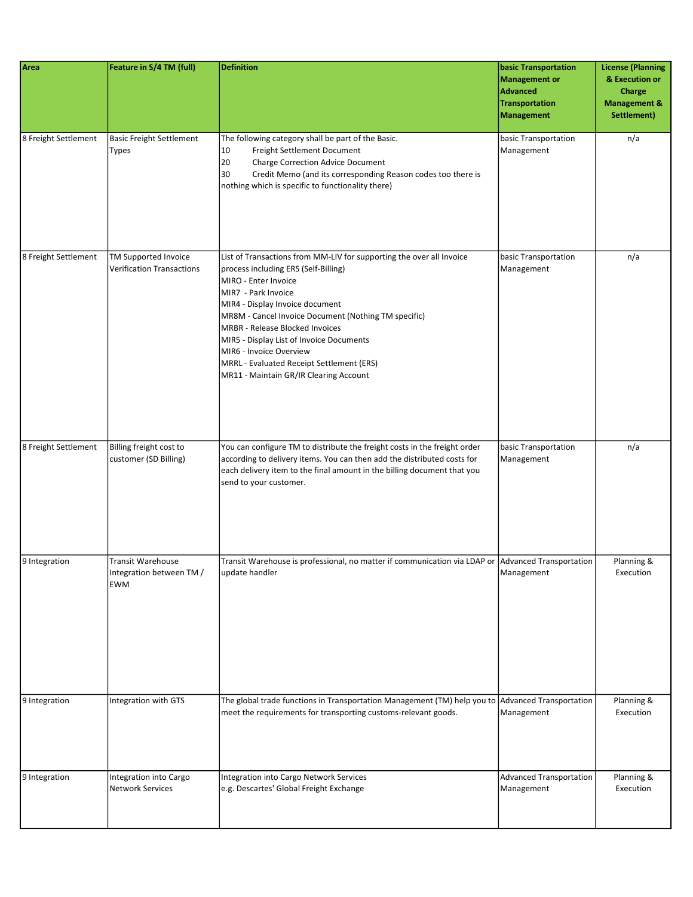| Area                 | Feature in S/4 TM (full)                                           | <b>Definition</b>                                                                                                                                                                                                                                                                                                                                                                                                                                       | <b>basic Transportation</b><br>Management or<br>Advanced<br><b>Transportation</b><br><b>Management</b> | <b>License (Planning</b><br>& Execution or<br>Charge<br><b>Management &amp;</b><br>Settlement) |
|----------------------|--------------------------------------------------------------------|---------------------------------------------------------------------------------------------------------------------------------------------------------------------------------------------------------------------------------------------------------------------------------------------------------------------------------------------------------------------------------------------------------------------------------------------------------|--------------------------------------------------------------------------------------------------------|------------------------------------------------------------------------------------------------|
| 8 Freight Settlement | <b>Basic Freight Settlement</b><br>Types                           | The following category shall be part of the Basic.<br>10<br>Freight Settlement Document<br>20<br><b>Charge Correction Advice Document</b><br>30<br>Credit Memo (and its corresponding Reason codes too there is<br>nothing which is specific to functionality there)                                                                                                                                                                                    | basic Transportation<br>Management                                                                     | n/a                                                                                            |
| 8 Freight Settlement | TM Supported Invoice<br><b>Verification Transactions</b>           | List of Transactions from MM-LIV for supporting the over all Invoice<br>process including ERS (Self-Billing)<br>MIRO - Enter Invoice<br>MIR7 - Park Invoice<br>MIR4 - Display Invoice document<br>MR8M - Cancel Invoice Document (Nothing TM specific)<br>MRBR - Release Blocked Invoices<br>MIR5 - Display List of Invoice Documents<br>MIR6 - Invoice Overview<br>MRRL - Evaluated Receipt Settlement (ERS)<br>MR11 - Maintain GR/IR Clearing Account | basic Transportation<br>Management                                                                     | n/a                                                                                            |
| 8 Freight Settlement | Billing freight cost to<br>customer (SD Billing)                   | You can configure TM to distribute the freight costs in the freight order<br>according to delivery items. You can then add the distributed costs for<br>each delivery item to the final amount in the billing document that you<br>send to your customer.                                                                                                                                                                                               | basic Transportation<br>Management                                                                     | n/a                                                                                            |
| 9 Integration        | <b>Transit Warehouse</b><br>Integration between TM /<br><b>EWM</b> | Transit Warehouse is professional, no matter if communication via LDAP or Advanced Transportation<br>update handler                                                                                                                                                                                                                                                                                                                                     | Management                                                                                             | Planning &<br>Execution                                                                        |
| 9 Integration        | Integration with GTS                                               | The global trade functions in Transportation Management (TM) help you to Advanced Transportation<br>meet the requirements for transporting customs-relevant goods.                                                                                                                                                                                                                                                                                      | Management                                                                                             | Planning &<br>Execution                                                                        |
| 9 Integration        | Integration into Cargo<br><b>Network Services</b>                  | Integration into Cargo Network Services<br>e.g. Descartes' Global Freight Exchange                                                                                                                                                                                                                                                                                                                                                                      | Advanced Transportation<br>Management                                                                  | Planning &<br>Execution                                                                        |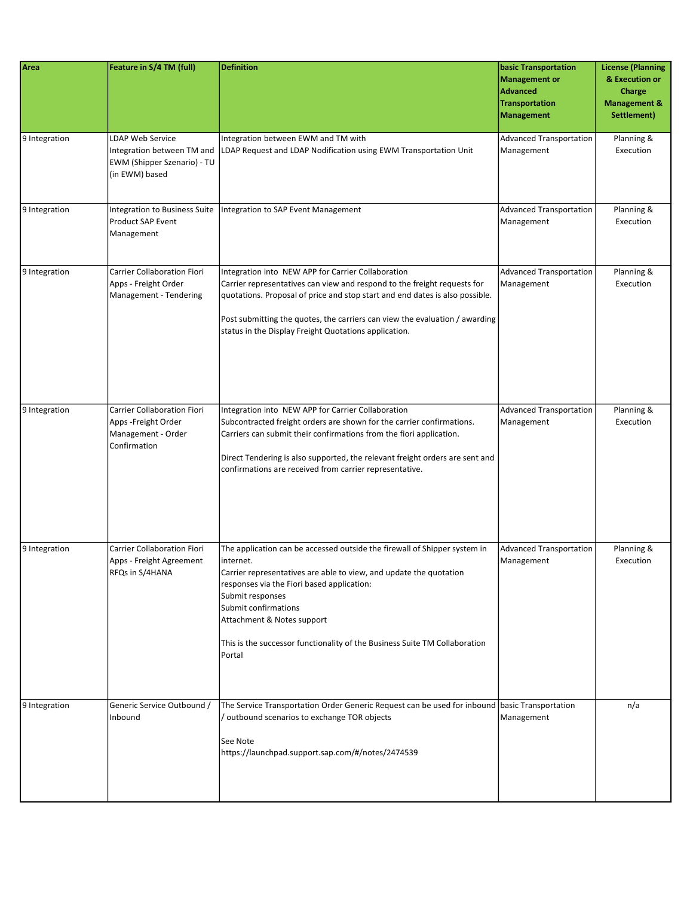| Area          | Feature in S/4 TM (full)                                                                               | <b>Definition</b>                                                                                                                                                                                                                                                                                                                                                            | <b>basic Transportation</b><br><b>Management or</b><br><b>Advanced</b><br><b>Transportation</b><br><b>Management</b> | <b>License (Planning</b><br>& Execution or<br>Charge<br><b>Management &amp;</b><br>Settlement) |
|---------------|--------------------------------------------------------------------------------------------------------|------------------------------------------------------------------------------------------------------------------------------------------------------------------------------------------------------------------------------------------------------------------------------------------------------------------------------------------------------------------------------|----------------------------------------------------------------------------------------------------------------------|------------------------------------------------------------------------------------------------|
| 9 Integration | <b>LDAP Web Service</b><br>Integration between TM and<br>EWM (Shipper Szenario) - TU<br>(in EWM) based | Integration between EWM and TM with<br>LDAP Request and LDAP Nodification using EWM Transportation Unit                                                                                                                                                                                                                                                                      | <b>Advanced Transportation</b><br>Management                                                                         | Planning &<br>Execution                                                                        |
| 9 Integration | Integration to Business Suite<br><b>Product SAP Event</b><br>Management                                | Integration to SAP Event Management                                                                                                                                                                                                                                                                                                                                          | <b>Advanced Transportation</b><br>Management                                                                         | Planning &<br>Execution                                                                        |
| 9 Integration | <b>Carrier Collaboration Fiori</b><br>Apps - Freight Order<br>Management - Tendering                   | Integration into NEW APP for Carrier Collaboration<br>Carrier representatives can view and respond to the freight requests for<br>quotations. Proposal of price and stop start and end dates is also possible.<br>Post submitting the quotes, the carriers can view the evaluation / awarding<br>status in the Display Freight Quotations application.                       | <b>Advanced Transportation</b><br>Management                                                                         | Planning &<br>Execution                                                                        |
| 9 Integration | <b>Carrier Collaboration Fiori</b><br>Apps -Freight Order<br>Management - Order<br>Confirmation        | Integration into NEW APP for Carrier Collaboration<br>Subcontracted freight orders are shown for the carrier confirmations.<br>Carriers can submit their confirmations from the fiori application.<br>Direct Tendering is also supported, the relevant freight orders are sent and<br>confirmations are received from carrier representative.                                | <b>Advanced Transportation</b><br>Management                                                                         | Planning &<br>Execution                                                                        |
| 9 Integration | <b>Carrier Collaboration Fiori</b><br>Apps - Freight Agreement<br>RFQs in S/4HANA                      | The application can be accessed outside the firewall of Shipper system in<br>internet.<br>Carrier representatives are able to view, and update the quotation<br>responses via the Fiori based application:<br>Submit responses<br>Submit confirmations<br>Attachment & Notes support<br>This is the successor functionality of the Business Suite TM Collaboration<br>Portal | <b>Advanced Transportation</b><br>Management                                                                         | Planning &<br>Execution                                                                        |
| 9 Integration | Generic Service Outbound /<br>Inbound                                                                  | The Service Transportation Order Generic Request can be used for inbound basic Transportation<br>/ outbound scenarios to exchange TOR objects<br>See Note<br>https://launchpad.support.sap.com/#/notes/2474539                                                                                                                                                               | Management                                                                                                           | n/a                                                                                            |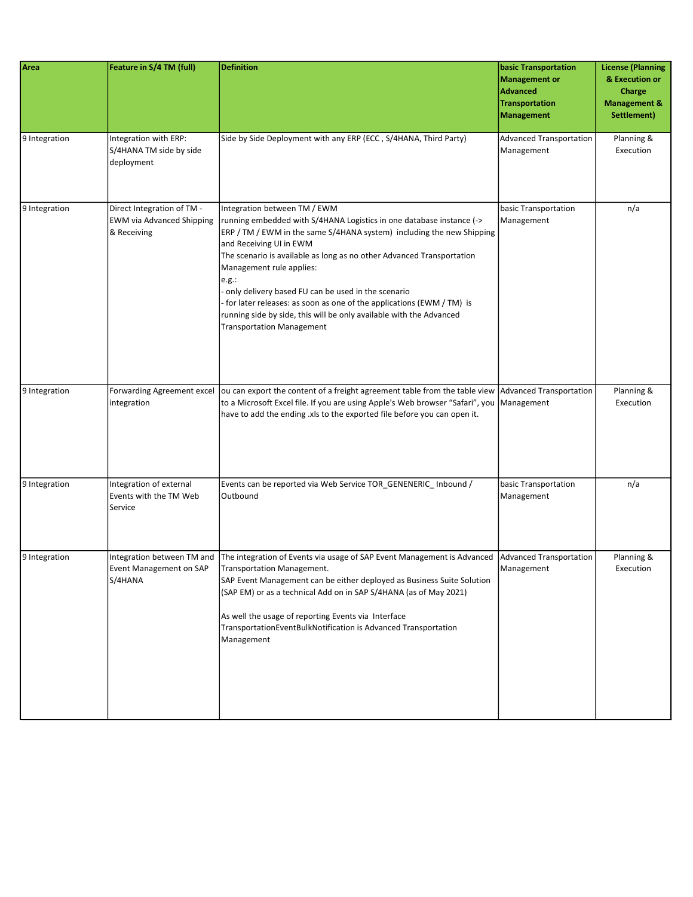| Area          | Feature in S/4 TM (full)                                                      | <b>Definition</b>                                                                                                                                                                                                                                                                                                                                                                                                                                                                                                                                                   | <b>basic Transportation</b><br><b>Management or</b><br><b>Advanced</b><br><b>Transportation</b><br><b>Management</b> | <b>License (Planning</b><br>& Execution or<br>Charge<br><b>Management &amp;</b><br>Settlement) |
|---------------|-------------------------------------------------------------------------------|---------------------------------------------------------------------------------------------------------------------------------------------------------------------------------------------------------------------------------------------------------------------------------------------------------------------------------------------------------------------------------------------------------------------------------------------------------------------------------------------------------------------------------------------------------------------|----------------------------------------------------------------------------------------------------------------------|------------------------------------------------------------------------------------------------|
| 9 Integration | Integration with ERP:<br>S/4HANA TM side by side<br>deployment                | Side by Side Deployment with any ERP (ECC, S/4HANA, Third Party)                                                                                                                                                                                                                                                                                                                                                                                                                                                                                                    | Advanced Transportation<br>Management                                                                                | Planning &<br>Execution                                                                        |
| 9 Integration | Direct Integration of TM -<br><b>EWM via Advanced Shipping</b><br>& Receiving | Integration between TM / EWM<br>running embedded with S/4HANA Logistics in one database instance (-><br>ERP / TM / EWM in the same S/4HANA system) including the new Shipping<br>and Receiving UI in EWM<br>The scenario is available as long as no other Advanced Transportation<br>Management rule applies:<br>e.g.:<br>- only delivery based FU can be used in the scenario<br>- for later releases: as soon as one of the applications (EWM / TM) is<br>running side by side, this will be only available with the Advanced<br><b>Transportation Management</b> | basic Transportation<br>Management                                                                                   | n/a                                                                                            |
| 9 Integration | Forwarding Agreement excel<br>integration                                     | ou can export the content of a freight agreement table from the table view Advanced Transportation<br>to a Microsoft Excel file. If you are using Apple's Web browser "Safari", you  Management<br>have to add the ending .xls to the exported file before you can open it.                                                                                                                                                                                                                                                                                         |                                                                                                                      | Planning &<br>Execution                                                                        |
| 9 Integration | Integration of external<br>Events with the TM Web<br>Service                  | Events can be reported via Web Service TOR_GENENERIC_Inbound /<br>Outbound                                                                                                                                                                                                                                                                                                                                                                                                                                                                                          | basic Transportation<br>Management                                                                                   | n/a                                                                                            |
| 9 Integration | Integration between TM and<br>Event Management on SAP<br>S/4HANA              | The integration of Events via usage of SAP Event Management is Advanced   Advanced Transportation<br>Transportation Management.<br>SAP Event Management can be either deployed as Business Suite Solution<br>(SAP EM) or as a technical Add on in SAP S/4HANA (as of May 2021)<br>As well the usage of reporting Events via Interface<br>TransportationEventBulkNotification is Advanced Transportation<br>Management                                                                                                                                               | Management                                                                                                           | Planning &<br>Execution                                                                        |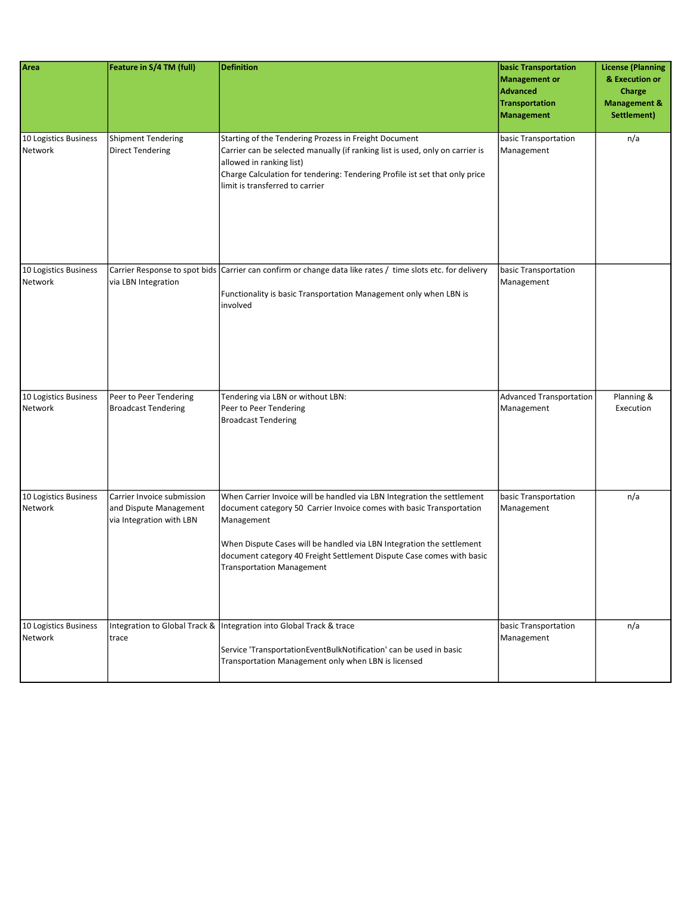| Area                             | Feature in S/4 TM (full)                                                         | <b>Definition</b>                                                                                                                                                                                                                                                                                                                            | <b>basic Transportation</b><br><b>Management or</b><br><b>Advanced</b><br><b>Transportation</b><br><b>Management</b> | <b>License (Planning</b><br>& Execution or<br>Charge<br><b>Management &amp;</b><br>Settlement) |
|----------------------------------|----------------------------------------------------------------------------------|----------------------------------------------------------------------------------------------------------------------------------------------------------------------------------------------------------------------------------------------------------------------------------------------------------------------------------------------|----------------------------------------------------------------------------------------------------------------------|------------------------------------------------------------------------------------------------|
| 10 Logistics Business<br>Network | <b>Shipment Tendering</b><br><b>Direct Tendering</b>                             | Starting of the Tendering Prozess in Freight Document<br>Carrier can be selected manually (if ranking list is used, only on carrier is<br>allowed in ranking list)<br>Charge Calculation for tendering: Tendering Profile ist set that only price<br>limit is transferred to carrier                                                         | basic Transportation<br>Management                                                                                   | n/a                                                                                            |
| 10 Logistics Business<br>Network | via LBN Integration                                                              | Carrier Response to spot bids Carrier can confirm or change data like rates / time slots etc. for delivery<br>Functionality is basic Transportation Management only when LBN is<br>involved                                                                                                                                                  | basic Transportation<br>Management                                                                                   |                                                                                                |
| 10 Logistics Business<br>Network | Peer to Peer Tendering<br><b>Broadcast Tendering</b>                             | Tendering via LBN or without LBN:<br>Peer to Peer Tendering<br><b>Broadcast Tendering</b>                                                                                                                                                                                                                                                    | <b>Advanced Transportation</b><br>Management                                                                         | Planning &<br>Execution                                                                        |
| 10 Logistics Business<br>Network | Carrier Invoice submission<br>and Dispute Management<br>via Integration with LBN | When Carrier Invoice will be handled via LBN Integration the settlement<br>document category 50 Carrier Invoice comes with basic Transportation<br>Management<br>When Dispute Cases will be handled via LBN Integration the settlement<br>document category 40 Freight Settlement Dispute Case comes with basic<br>Transportation Management | basic Transportation<br>Management                                                                                   | n/a                                                                                            |
| 10 Logistics Business<br>Network | trace                                                                            | Integration to Global Track & Integration into Global Track & trace<br>Service 'TransportationEventBulkNotification' can be used in basic<br>Transportation Management only when LBN is licensed                                                                                                                                             | basic Transportation<br>Management                                                                                   | n/a                                                                                            |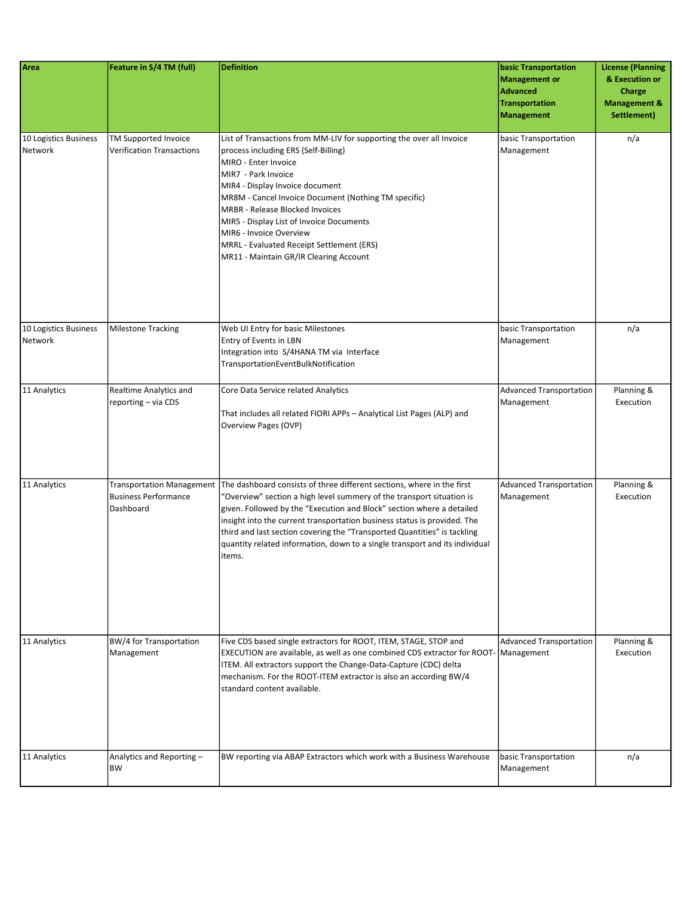| Area                             | Feature in S/4 TM (full)                                 | <b>Definition</b>                                                                                                                                                                                                                                                                                                                                                                                                                                                                                     | <b>basic Transportation</b><br>Management or<br><b>Advanced</b><br>Transportation<br>Management | <b>License (Planning</b><br>& Execution or<br>Charge<br><b>Management &amp;</b><br>Settlement) |
|----------------------------------|----------------------------------------------------------|-------------------------------------------------------------------------------------------------------------------------------------------------------------------------------------------------------------------------------------------------------------------------------------------------------------------------------------------------------------------------------------------------------------------------------------------------------------------------------------------------------|-------------------------------------------------------------------------------------------------|------------------------------------------------------------------------------------------------|
| 10 Logistics Business<br>Network | TM Supported Invoice<br><b>Verification Transactions</b> | List of Transactions from MM-LIV for supporting the over all Invoice<br>process including ERS (Self-Billing)<br>MIRO - Enter Invoice<br>MIR7 - Park Invoice<br>MIR4 - Display Invoice document<br>MR8M - Cancel Invoice Document (Nothing TM specific)<br><b>MRBR</b> - Release Blocked Invoices<br>MIR5 - Display List of Invoice Documents<br>MIR6 - Invoice Overview<br>MRRL - Evaluated Receipt Settlement (ERS)<br>MR11 - Maintain GR/IR Clearing Account                                        | basic Transportation<br>Management                                                              | n/a                                                                                            |
| 10 Logistics Business<br>Network | <b>Milestone Tracking</b>                                | Web UI Entry for basic Milestones<br>Entry of Events in LBN<br>Integration into S/4HANA TM via Interface<br>TransportationEventBulkNotification                                                                                                                                                                                                                                                                                                                                                       | basic Transportation<br>Management                                                              | n/a                                                                                            |
| 11 Analytics                     | Realtime Analytics and<br>reporting - via CDS            | Core Data Service related Analytics<br>That includes all related FIORI APPs - Analytical List Pages (ALP) and<br>Overview Pages (OVP)                                                                                                                                                                                                                                                                                                                                                                 | <b>Advanced Transportation</b><br>Management                                                    | Planning &<br>Execution                                                                        |
| 11 Analytics                     | <b>Business Performance</b><br>Dashboard                 | Transportation Management   The dashboard consists of three different sections, where in the first<br>"Overview" section a high level summery of the transport situation is<br>given. Followed by the "Execution and Block" section where a detailed<br>insight into the current transportation business status is provided. The<br>third and last section covering the "Transported Quantities" is tackling<br>quantity related information, down to a single transport and its individual<br>items. | <b>Advanced Transportation</b><br>Management                                                    | Planning &<br>Execution                                                                        |
| 11 Analytics                     | BW/4 for Transportation<br>Management                    | Five CDS based single extractors for ROOT, ITEM, STAGE, STOP and<br>EXECUTION are available, as well as one combined CDS extractor for ROOT-   Management<br>ITEM. All extractors support the Change-Data-Capture (CDC) delta<br>mechanism. For the ROOT-ITEM extractor is also an according BW/4<br>standard content available.                                                                                                                                                                      | <b>Advanced Transportation</b>                                                                  | Planning &<br>Execution                                                                        |
| 11 Analytics                     | Analytics and Reporting-<br>BW                           | BW reporting via ABAP Extractors which work with a Business Warehouse                                                                                                                                                                                                                                                                                                                                                                                                                                 | basic Transportation<br>Management                                                              | n/a                                                                                            |